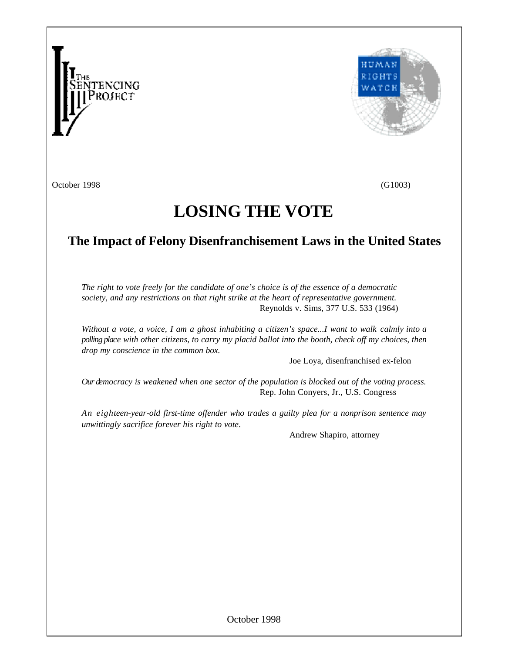



October 1998 (G1003)

# **LOSING THE VOTE**

# **The Impact of Felony Disenfranchisement Laws in the United States**

*The right to vote freely for the candidate of one's choice is of the essence of a democratic society, and any restrictions on that right strike at the heart of representative government.* Reynolds v. Sims, 377 U.S. 533 (1964)

*Without a vote, a voice, I am a ghost inhabiting a citizen's space...I want to walk calmly into a polling place with other citizens, to carry my placid ballot into the booth, check off my choices, then drop my conscience in the common box.*

Joe Loya, disenfranchised ex-felon

*Our democracy is weakened when one sector of the population is blocked out of the voting process.* Rep. John Conyers, Jr., U.S. Congress

*An eighteen-year-old first-time offender who trades a guilty plea for a nonprison sentence may unwittingly sacrifice forever his right to vote*.

Andrew Shapiro, attorney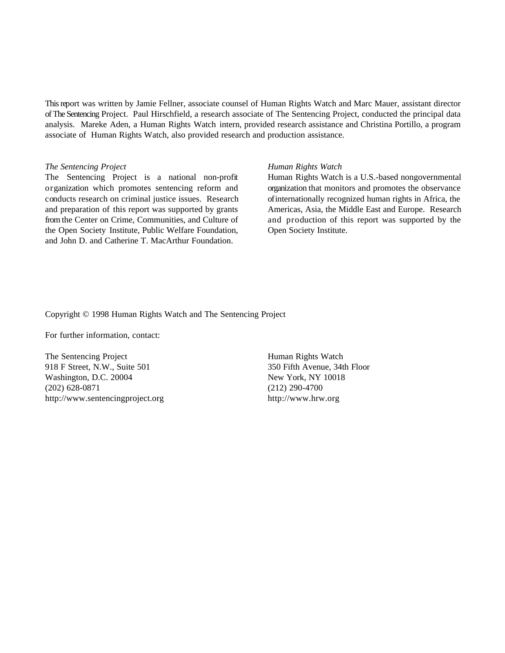This report was written by Jamie Fellner, associate counsel of Human Rights Watch and Marc Mauer, assistant director of The Sentencing Project. Paul Hirschfield, a research associate of The Sentencing Project, conducted the principal data analysis. Mareke Aden, a Human Rights Watch intern, provided research assistance and Christina Portillo, a program associate of Human Rights Watch, also provided research and production assistance.

### *The Sentencing Project Human Rights Watch*

organization which promotes sentencing reform and organization that monitors and promotes the observance conducts research on criminal justice issues. Research ofinternationally recognized human rights in Africa, the the Open Society Institute, Public Welfare Foundation, Open Society Institute. and John D. and Catherine T. MacArthur Foundation.

The Sentencing Project is a national non-profit Human Rights Watch is a U.S.-based nongovernmental and preparation of this report was supported by grants Americas, Asia, the Middle East and Europe. Research from the Center on Crime, Communities, and Culture of and production of this report was supported by the

## Copyright © 1998 Human Rights Watch and The Sentencing Project

For further information, contact:

The Sentencing Project Human Rights Watch 918 F Street, N.W., Suite 501 350 Fifth Avenue, 34th Floor Washington, D.C. 20004 New York, NY 10018 (202) 628-0871 (212) 290-4700 http://www.sentencingproject.org http://www.hrw.org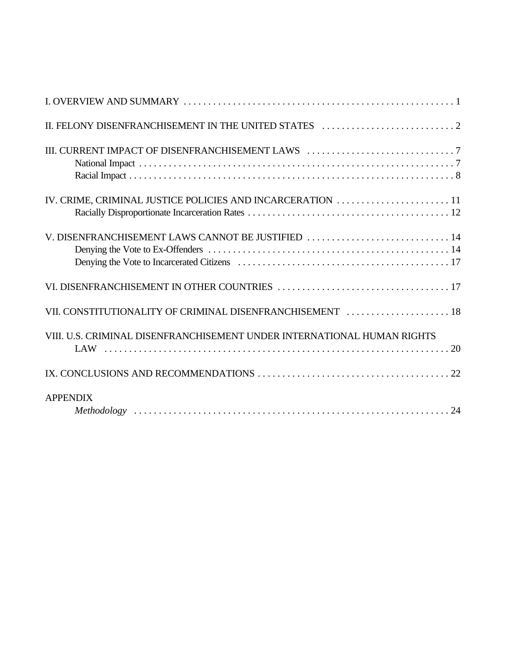| IV. CRIME, CRIMINAL JUSTICE POLICIES AND INCARCERATION  11              |
|-------------------------------------------------------------------------|
| V. DISENFRANCHISEMENT LAWS CANNOT BE JUSTIFIED  14                      |
|                                                                         |
| VII. CONSTITUTIONALITY OF CRIMINAL DISENFRANCHISEMENT  18               |
| VIII. U.S. CRIMINAL DISENFRANCHISEMENT UNDER INTERNATIONAL HUMAN RIGHTS |
|                                                                         |
| <b>APPENDIX</b>                                                         |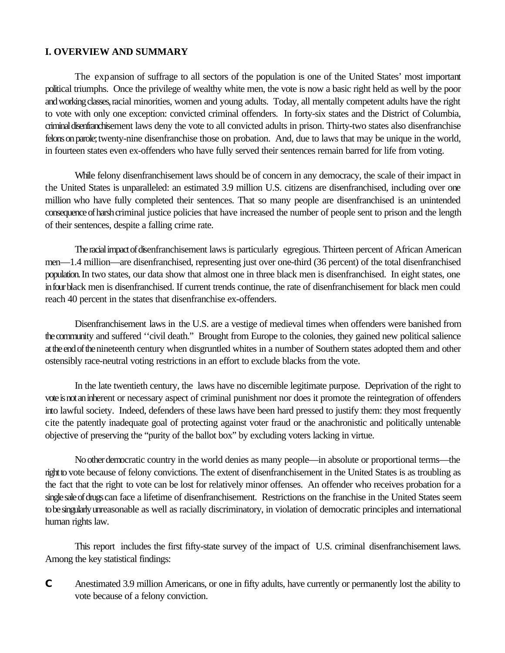## **I. OVERVIEW AND SUMMARY**

The expansion of suffrage to all sectors of the population is one of the United States' most important political triumphs. Once the privilege of wealthy white men, the vote is now a basic right held as well by the poor and working classes, racial minorities, women and young adults. Today, all mentally competent adults have the right to vote with only one exception: convicted criminal offenders. In forty-six states and the District of Columbia, criminal disenfranchisement laws deny the vote to all convicted adults in prison. Thirty-two states also disenfranchise felons on parole; twenty-nine disenfranchise those on probation. And, due to laws that may be unique in the world, in fourteen states even ex-offenders who have fully served their sentences remain barred for life from voting.

While felony disenfranchisement laws should be of concern in any democracy, the scale of their impact in the United States is unparalleled: an estimated 3.9 million U.S. citizens are disenfranchised, including over one million who have fully completed their sentences. That so many people are disenfranchised is an unintended consequence of harsh criminal justice policies that have increased the number of people sent to prison and the length of their sentences, despite a falling crime rate.

The racial impact of disenfranchisement laws is particularly egregious. Thirteen percent of African American men—1.4 million—are disenfranchised, representing just over one-third (36 percent) of the total disenfranchised population. In two states, our data show that almost one in three black men is disenfranchised. In eight states, one in four black men is disenfranchised. If current trends continue, the rate of disenfranchisement for black men could reach 40 percent in the states that disenfranchise ex-offenders.

Disenfranchisement laws in the U.S. are a vestige of medieval times when offenders were banished from the community and suffered ''civil death." Brought from Europe to the colonies, they gained new political salience at the end of the nineteenth century when disgruntled whites in a number of Southern states adopted them and other ostensibly race-neutral voting restrictions in an effort to exclude blacks from the vote.

In the late twentieth century, the laws have no discernible legitimate purpose. Deprivation of the right to vote is not an inherent or necessary aspect of criminal punishment nor does it promote the reintegration of offenders into lawful society. Indeed, defenders of these laws have been hard pressed to justify them: they most frequently cite the patently inadequate goal of protecting against voter fraud or the anachronistic and politically untenable objective of preserving the "purity of the ballot box" by excluding voters lacking in virtue.

No other democratic country in the world denies as many people—in absolute or proportional terms—the right to vote because of felony convictions. The extent of disenfranchisement in the United States is as troubling as the fact that the right to vote can be lost for relatively minor offenses. An offender who receives probation for a single sale of drugs can face a lifetime of disenfranchisement. Restrictions on the franchise in the United States seem to be singularly unreasonable as well as racially discriminatory, in violation of democratic principles and international human rights law.

This report includes the first fifty-state survey of the impact of U.S. criminal disenfranchisement laws. Among the key statistical findings:

**C** Anestimated 3.9 million Americans, or one in fifty adults, have currently or permanently lost the ability to vote because of a felony conviction.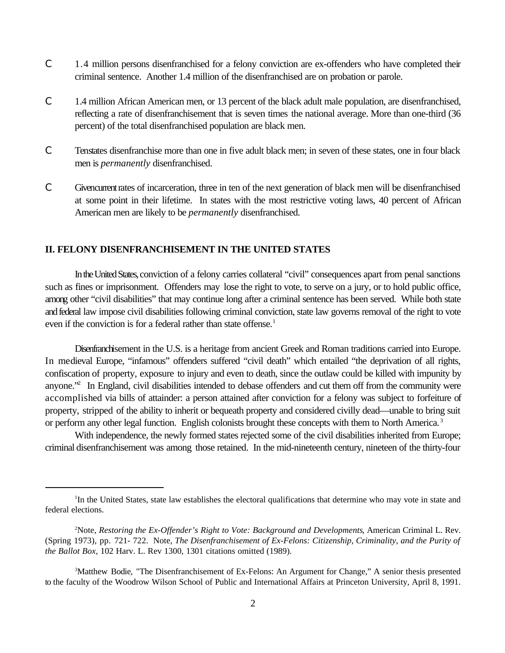- C 1.4 million persons disenfranchised for a felony conviction are ex-offenders who have completed their criminal sentence. Another 1.4 million of the disenfranchised are on probation or parole.
- C 1.4 million African American men, or 13 percent of the black adult male population, are disenfranchised, reflecting a rate of disenfranchisement that is seven times the national average. More than one-third (36 percent) of the total disenfranchised population are black men.
- C Tenstates disenfranchise more than one in five adult black men; in seven of these states, one in four black men is *permanently* disenfranchised.
- C Givencurrent rates of incarceration, three in ten of the next generation of black men will be disenfranchised at some point in their lifetime. In states with the most restrictive voting laws, 40 percent of African American men are likely to be *permanently* disenfranchised.

## **II. FELONY DISENFRANCHISEMENT IN THE UNITED STATES**

In the United States, conviction of a felony carries collateral "civil" consequences apart from penal sanctions such as fines or imprisonment. Offenders may lose the right to vote, to serve on a jury, or to hold public office, among other "civil disabilities" that may continue long after a criminal sentence has been served. While both state and federal law impose civil disabilities following criminal conviction, state law governs removal of the right to vote even if the conviction is for a federal rather than state offense.<sup>1</sup>

Disenfranchisement in the U.S. is a heritage from ancient Greek and Roman traditions carried into Europe. In medieval Europe, "infamous" offenders suffered "civil death" which entailed "the deprivation of all rights, confiscation of property, exposure to injury and even to death, since the outlaw could be killed with impunity by anyone."<sup>2</sup> In England, civil disabilities intended to debase offenders and cut them off from the community were accomplished via bills of attainder: a person attained after conviction for a felony was subject to forfeiture of property, stripped of the ability to inherit or bequeath property and considered civilly dead—unable to bring suit or perform any other legal function. English colonists brought these concepts with them to North America.<sup>3</sup>

With independence, the newly formed states rejected some of the civil disabilities inherited from Europe; criminal disenfranchisement was among those retained. In the mid-nineteenth century, nineteen of the thirty-four

<sup>&</sup>lt;sup>1</sup>In the United States, state law establishes the electoral qualifications that determine who may vote in state and federal elections.

<sup>&</sup>lt;sup>2</sup>Note, *Restoring the Ex-Offender's Right to Vote: Background and Developments*, American Criminal L. Rev. (Spring 1973), pp. 721- 722. Note, *The Disenfranchisement of Ex-Felons: Citizenship, Criminality, and the Purity of the Ballot Box*, 102 Harv. L. Rev 1300, 1301 citations omitted (1989).

<sup>&</sup>lt;sup>3</sup>Matthew Bodie, "The Disenfranchisement of Ex-Felons: An Argument for Change," A senior thesis presented to the faculty of the Woodrow Wilson School of Public and International Affairs at Princeton University, April 8, 1991.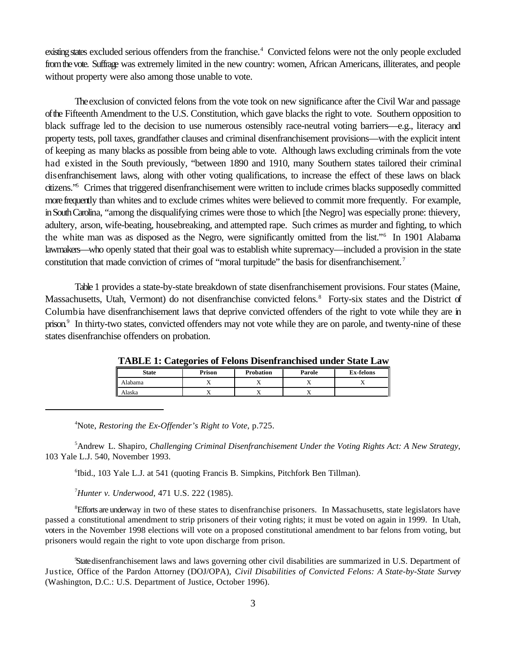existing states excluded serious offenders from the franchise.<sup>4</sup> Convicted felons were not the only people excluded from the vote. Suffrage was extremely limited in the new country: women, African Americans, illiterates, and people without property were also among those unable to vote.

The exclusion of convicted felons from the vote took on new significance after the Civil War and passage of the Fifteenth Amendment to the U.S. Constitution, which gave blacks the right to vote. Southern opposition to black suffrage led to the decision to use numerous ostensibly race-neutral voting barriers—e.g., literacy and property tests, poll taxes, grandfather clauses and criminal disenfranchisement provisions—with the explicit intent of keeping as many blacks as possible from being able to vote. Although laws excluding criminals from the vote had existed in the South previously, "between 1890 and 1910, many Southern states tailored their criminal disenfranchisement laws, along with other voting qualifications, to increase the effect of these laws on black citizens.<sup>"</sup> Crimes that triggered disenfranchisement were written to include crimes blacks supposedly committed more frequently than whites and to exclude crimes whites were believed to commit more frequently. For example, in South Carolina, "among the disqualifying crimes were those to which [the Negro] was especially prone: thievery, adultery, arson, wife-beating, housebreaking, and attempted rape. Such crimes as murder and fighting, to which the white man was as disposed as the Negro, were significantly omitted from the list."<sup>6</sup> In 1901 Alabama lawmakers—who openly stated that their goal was to establish white supremacy—included a provision in the state constitution that made conviction of crimes of "moral turpitude" the basis for disenfranchisement. <sup>7</sup>

Table 1 provides a state-by-state breakdown of state disenfranchisement provisions. Four states (Maine, Massachusetts, Utah, Vermont) do not disenfranchise convicted felons.<sup>8</sup> Forty-six states and the District of Columbia have disenfranchisement laws that deprive convicted offenders of the right to vote while they are in prison.<sup>9</sup> In thirty-two states, convicted offenders may not vote while they are on parole, and twenty-nine of these states disenfranchise offenders on probation.

| <b>State</b> | ີ<br>Prison    | <b>Probation</b> | Parole         | <b>Ex-felons</b> |  |
|--------------|----------------|------------------|----------------|------------------|--|
| Alabama      |                | . .              | $\overline{ }$ | $\overline{ }$   |  |
| Alaska       | $\overline{ }$ |                  | $\overline{ }$ |                  |  |

**TABLE 1: Categories of Felons Disenfranchised under State Law**

Note, *Restoring the Ex-Offender's Right to Vote*, p.725. <sup>4</sup>

<sup>5</sup> Andrew L. Shapiro, *Challenging Criminal Disenfranchisement Under the Voting Rights Act: A New Strategy*, 103 Yale L.J. 540, November 1993.

<sup>6</sup>Ibid., 103 Yale L.J. at 541 (quoting Francis B. Simpkins, Pitchfork Ben Tillman).

*Hunter v. Underwood*, 471 U.S. 222 (1985). <sup>7</sup>

<sup>8</sup>Efforts are underway in two of these states to disenfranchise prisoners. In Massachusetts, state legislators have passed a constitutional amendment to strip prisoners of their voting rights; it must be voted on again in 1999. In Utah, voters in the November 1998 elections will vote on a proposed constitutional amendment to bar felons from voting, but prisoners would regain the right to vote upon discharge from prison.

Statedisenfranchisement laws and laws governing other civil disabilities are summarized in U.S. Department of <sup>9</sup> Justice, Office of the Pardon Attorney (DOJ/OPA), *Civil Disabilities of Convicted Felons: A State-by-State Survey* (Washington, D.C.: U.S. Department of Justice, October 1996).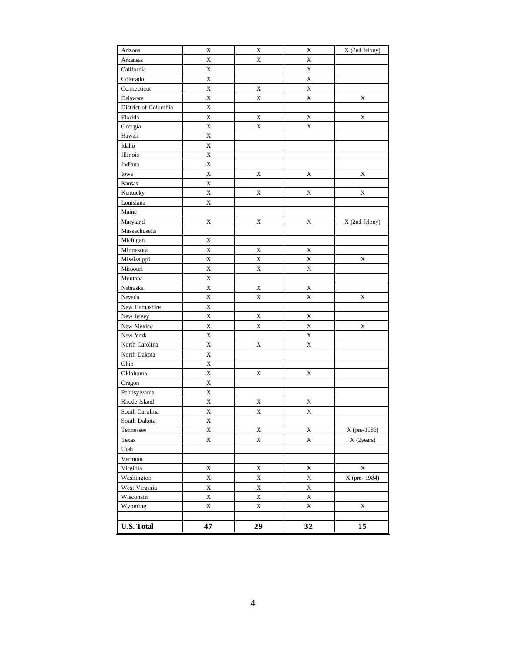| Arizona              | X           | X           | X           | X (2nd felony) |
|----------------------|-------------|-------------|-------------|----------------|
| Arkansas             | $\mathbf X$ | X           | $\mathbf X$ |                |
| California           | $\mathbf X$ |             | $\mathbf X$ |                |
| Colorado             | $\mathbf X$ |             | $\mathbf X$ |                |
| Connecticut          | $\mathbf X$ | $\mathbf X$ | X           |                |
| Delaware             | X           | X           | X           | X              |
| District of Columbia | X           |             |             |                |
| Florida              | X           | X           | X           | X              |
| Georgia              | X           | X           | X           |                |
| Hawaii               | $\mathbf X$ |             |             |                |
| Idaho                | $\mathbf X$ |             |             |                |
| Illinois             | X           |             |             |                |
| Indiana              | $\mathbf X$ |             |             |                |
| Iowa                 | $\mathbf X$ | X           | X           | X              |
| Kansas               | X           |             |             |                |
| Kentucky             | X           | X           | X           | X              |
| Louisiana            | $\mathbf X$ |             |             |                |
| Maine                |             |             |             |                |
| Maryland             | X           | X           | X           | X (2nd felony) |
| Massachusetts        |             |             |             |                |
| Michigan             | X           |             |             |                |
| Minnesota            | $\mathbf X$ | X           | X           |                |
| Mississippi          | $\mathbf X$ | $\mathbf X$ | X           | X              |
| Missouri             | X           | X           | X           |                |
| Montana              | X           |             |             |                |
| Nebraska             | $\mathbf X$ | X           | X           |                |
| Nevada               | $\mathbf X$ | $\mathbf X$ | $\mathbf X$ | X              |
| New Hampshire        | $\mathbf X$ |             |             |                |
| New Jersey           | $\mathbf X$ | $\mathbf X$ | $\mathbf X$ |                |
| New Mexico           | $\mathbf X$ | X           | $\mathbf X$ | X              |
| New York             | $\mathbf X$ |             | X           |                |
| North Carolina       | X           | X           | X           |                |
| North Dakota         | X           |             |             |                |
| Ohio                 | $\mathbf X$ |             |             |                |
| Oklahoma             | $\mathbf X$ | X           | X           |                |
| Oregon               | $\mathbf X$ |             |             |                |
| Pennsylvania         | X           |             |             |                |
| Rhode Island         | X           | X           | X           |                |
| South Carolina       | X           | $\mathbf X$ | X           |                |
| South Dakota         | $\mathbf X$ |             |             |                |
| Tennessee            | $\mathbf X$ | $\mathbf X$ | $\mathbf X$ | X (pre-1986)   |
| Texas                | $\mathbf X$ | $\mathbf X$ | $\mathbf X$ | X (2years)     |
| Utah                 |             |             |             |                |
| Vermont              |             |             |             |                |
| Virginia             | X           | $\mathbf X$ | X           | $\mathbf X$    |
| Washington           | $\mathbf X$ | $\mathbf X$ | $\mathbf X$ | X (pre- 1984)  |
| West Virginia        | $\mathbf X$ | $\mathbf X$ | $\mathbf X$ |                |
| Wisconsin            | $\mathbf X$ | $\mathbf X$ | X           |                |
| Wyoming              | $\mathbf X$ | $\mathbf X$ | $\mathbf X$ | X              |
|                      |             |             |             |                |
| <b>U.S. Total</b>    | 47          | 29          | 32          | 15             |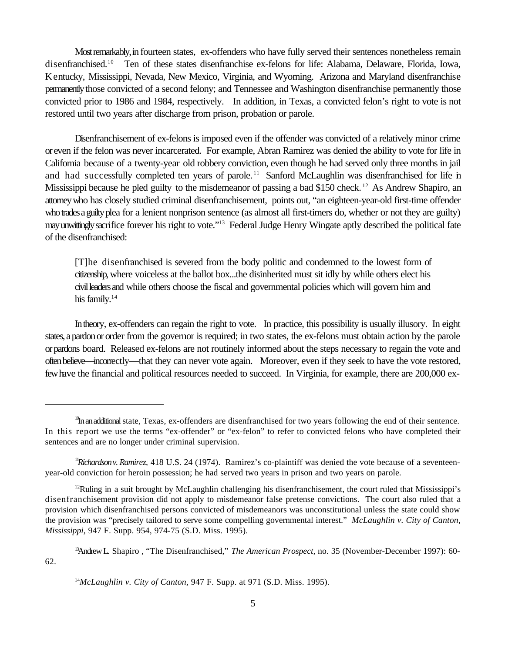Most remarkably, in fourteen states, ex-offenders who have fully served their sentences nonetheless remain disenfranchised.<sup>10</sup> Ten of these states disenfranchise ex-felons for life: Alabama, Delaware, Florida, Iowa, Kentucky, Mississippi, Nevada, New Mexico, Virginia, and Wyoming. Arizona and Maryland disenfranchise permanently those convicted of a second felony; and Tennessee and Washington disenfranchise permanently those convicted prior to 1986 and 1984, respectively. In addition, in Texas, a convicted felon's right to vote is not restored until two years after discharge from prison, probation or parole.

Disenfranchisement of ex-felons is imposed even if the offender was convicted of a relatively minor crime or even if the felon was never incarcerated. For example, Abran Ramirez was denied the ability to vote for life in California because of a twenty-year old robbery conviction, even though he had served only three months in jail and had successfully completed ten years of parole.<sup>11</sup> Sanford McLaughlin was disenfranchised for life in Mississippi because he pled guilty to the misdemeanor of passing a bad \$150 check.<sup>12</sup> As Andrew Shapiro, an attorney who has closely studied criminal disenfranchisement, points out, "an eighteen-year-old first-time offender who trades a guilty plea for a lenient nonprison sentence (as almost all first-timers do, whether or not they are guilty) may unwittingly sacrifice forever his right to vote."<sup>13</sup> Federal Judge Henry Wingate aptly described the political fate of the disenfranchised:

[T]he disenfranchised is severed from the body politic and condemned to the lowest form of citizenship, where voiceless at the ballot box...the disinherited must sit idly by while others elect his civil leaders and while others choose the fiscal and governmental policies which will govern him and his family.<sup>14</sup>

In theory, ex-offenders can regain the right to vote. In practice, this possibility is usually illusory. In eight states, a pardon or order from the governor is required; in two states, the ex-felons must obtain action by the parole or pardons board. Released ex-felons are not routinely informed about the steps necessary to regain the vote and often believe—incorrectly—that they can never vote again. Moreover, even if they seek to have the vote restored, few have the financial and political resources needed to succeed. In Virginia, for example, there are 200,000 ex-

 $\mathbb{I}^n$  an additional state, Texas, ex-offenders are disenfranchised for two years following the end of their sentence. In this report we use the terms "ex-offender" or "ex-felon" to refer to convicted felons who have completed their sentences and are no longer under criminal supervision.

<sup>&</sup>lt;sup>11</sup>Richardsonv. Ramirez, 418 U.S. 24 (1974). Ramirez's co-plaintiff was denied the vote because of a seventeenyear-old conviction for heroin possession; he had served two years in prison and two years on parole.

<sup>&</sup>lt;sup>12</sup>Ruling in a suit brought by McLaughlin challenging his disenfranchisement, the court ruled that Mississippi's disenfranchisement provision did not apply to misdemeanor false pretense convictions. The court also ruled that a provision which disenfranchised persons convicted of misdemeanors was unconstitutional unless the state could show the provision was "precisely tailored to serve some compelling governmental interest." *McLaughlin v. City of Canton, Mississippi*, 947 F. Supp. 954, 974-75 (S.D. Miss. 1995).

<sup>&</sup>lt;sup>13</sup>Andrew L. Shapiro, "The Disenfranchised," *The American Prospect*, no. 35 (November-December 1997): 60-62.

 $^{14}McLaughlin$  v. City of Canton, 947 F. Supp. at 971 (S.D. Miss. 1995).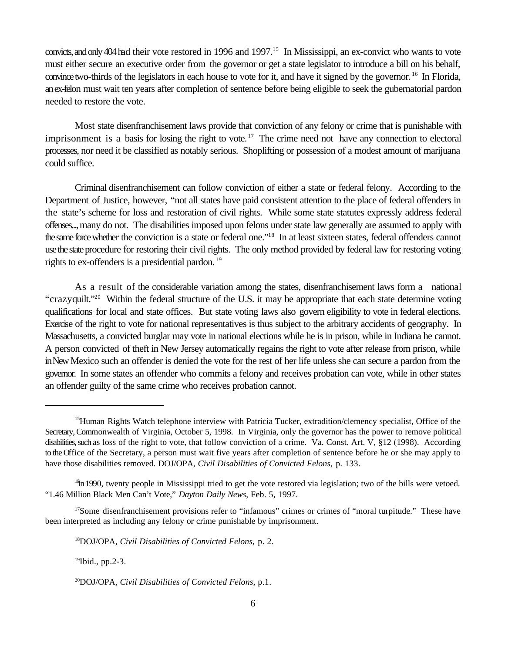convicts, and only 404 had their vote restored in 1996 and 1997.<sup>15</sup> In Mississippi, an ex-convict who wants to vote must either secure an executive order from the governor or get a state legislator to introduce a bill on his behalf, convince two-thirds of the legislators in each house to vote for it, and have it signed by the governor.<sup>16</sup> In Florida, an ex-felon must wait ten years after completion of sentence before being eligible to seek the gubernatorial pardon needed to restore the vote.

Most state disenfranchisement laws provide that conviction of any felony or crime that is punishable with imprisonment is a basis for losing the right to vote.<sup>17</sup> The crime need not have any connection to electoral processes, nor need it be classified as notably serious. Shoplifting or possession of a modest amount of marijuana could suffice.

Criminal disenfranchisement can follow conviction of either a state or federal felony. According to the Department of Justice, however, "not all states have paid consistent attention to the place of federal offenders in the state's scheme for loss and restoration of civil rights. While some state statutes expressly address federal offenses..., many do not. The disabilities imposed upon felons under state law generally are assumed to apply with the same force whether the conviction is a state or federal one."<sup>18</sup> In at least sixteen states, federal offenders cannot use the state procedure for restoring their civil rights. The only method provided by federal law for restoring voting rights to ex-offenders is a presidential pardon.<sup>19</sup>

As a result of the considerable variation among the states, disenfranchisement laws form a national "crazyquilt."<sup>20</sup> Within the federal structure of the U.S. it may be appropriate that each state determine voting qualifications for local and state offices. But state voting laws also govern eligibility to vote in federal elections. Exercise of the right to vote for national representatives is thus subject to the arbitrary accidents of geography. In Massachusetts, a convicted burglar may vote in national elections while he is in prison, while in Indiana he cannot. A person convicted of theft in New Jersey automatically regains the right to vote after release from prison, while in New Mexico such an offender is denied the vote for the rest of her life unless she can secure a pardon from the governor. In some states an offender who commits a felony and receives probation can vote, while in other states an offender guilty of the same crime who receives probation cannot.

 $19$ Ibid., pp.2-3.

<sup>&</sup>lt;sup>15</sup>Human Rights Watch telephone interview with Patricia Tucker, extradition/clemency specialist, Office of the Secretary, Commonwealth of Virginia, October 5, 1998. In Virginia, only the governor has the power to remove political disabilities, such as loss of the right to vote, that follow conviction of a crime. Va. Const. Art. V, §12 (1998). According to the Office of the Secretary, a person must wait five years after completion of sentence before he or she may apply to have those disabilities removed. DOJ/OPA, *Civil Disabilities of Convicted Felons,* p. 133.

 $^{16}$ In 1990, twenty people in Mississippi tried to get the vote restored via legislation; two of the bills were vetoed. "1.46 Million Black Men Can't Vote," *Dayton Daily News*, Feb. 5, 1997.

<sup>&</sup>lt;sup>17</sup>Some disenfranchisement provisions refer to "infamous" crimes or crimes of "moral turpitude." These have been interpreted as including any felony or crime punishable by imprisonment.

<sup>&</sup>lt;sup>18</sup>DOJ/OPA, *Civil Disabilities of Convicted Felons*, p. 2.

<sup>&</sup>lt;sup>20</sup>DOJ/OPA, *Civil Disabilities of Convicted Felons*, p.1.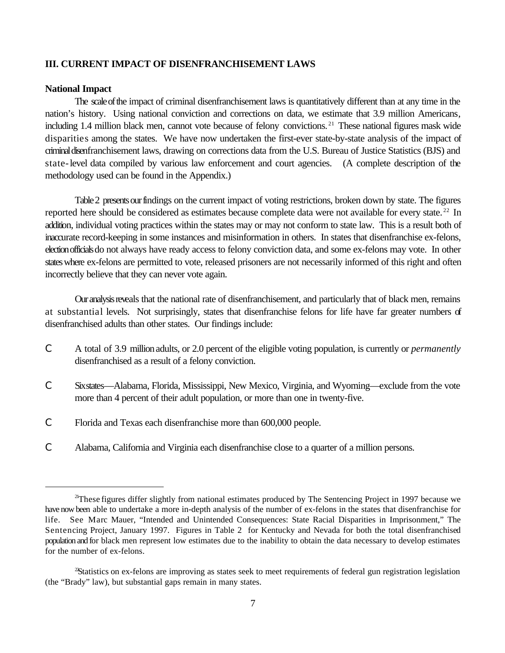## **III. CURRENT IMPACT OF DISENFRANCHISEMENT LAWS**

## **National Impact**

The scale of the impact of criminal disenfranchisement laws is quantitatively different than at any time in the nation's history. Using national conviction and corrections on data, we estimate that 3.9 million Americans, including 1.4 million black men, cannot vote because of felony convictions.<sup>21</sup> These national figures mask wide disparities among the states. We have now undertaken the first-ever state-by-state analysis of the impact of criminal disenfranchisement laws, drawing on corrections data from the U.S. Bureau of Justice Statistics (BJS) and state-level data compiled by various law enforcement and court agencies. (A complete description of the methodology used can be found in the Appendix.)

Table 2 presents our findings on the current impact of voting restrictions, broken down by state. The figures reported here should be considered as estimates because complete data were not available for every state.<sup>22</sup> In addition, individual voting practices within the states may or may not conform to state law. This is a result both of inaccurate record-keeping in some instances and misinformation in others. In states that disenfranchise ex-felons, election officials do not always have ready access to felony conviction data, and some ex-felons may vote. In other states where ex-felons are permitted to vote, released prisoners are not necessarily informed of this right and often incorrectly believe that they can never vote again.

Our analysis reveals that the national rate of disenfranchisement, and particularly that of black men, remains at substantial levels. Not surprisingly, states that disenfranchise felons for life have far greater numbers of disenfranchised adults than other states. Our findings include:

- C A total of 3.9 millionadults, or 2.0 percent of the eligible voting population, is currently or *permanently* disenfranchised as a result of a felony conviction.
- C Sixstates—Alabama, Florida, Mississippi, New Mexico, Virginia, and Wyoming—exclude from the vote more than 4 percent of their adult population, or more than one in twenty-five.
- C Florida and Texas each disenfranchise more than 600,000 people.
- C Alabama, California and Virginia each disenfranchise close to a quarter of a million persons.

 $2^{\text{th}}$ These figures differ slightly from national estimates produced by The Sentencing Project in 1997 because we have now been able to undertake a more in-depth analysis of the number of ex-felons in the states that disenfranchise for life. See Marc Mauer, "Intended and Unintended Consequences: State Racial Disparities in Imprisonment," The Sentencing Project, January 1997. Figures in Table 2 for Kentucky and Nevada for both the total disenfranchised population and for black men represent low estimates due to the inability to obtain the data necessary to develop estimates for the number of ex-felons.

<sup>&</sup>lt;sup>2</sup>Statistics on ex-felons are improving as states seek to meet requirements of federal gun registration legislation (the "Brady" law), but substantial gaps remain in many states.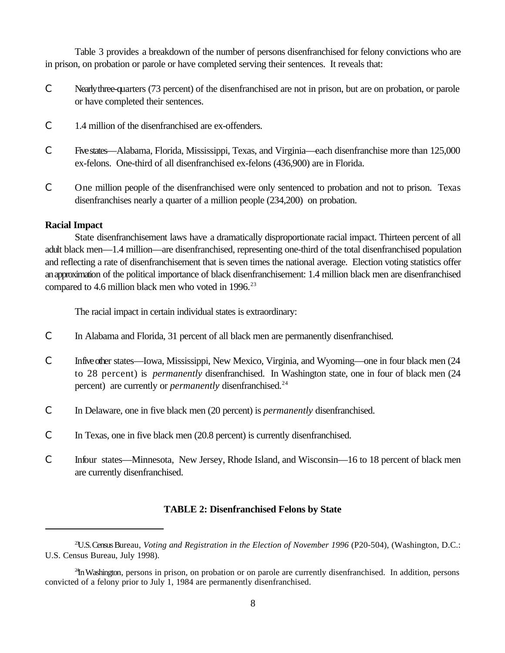Table 3 provides a breakdown of the number of persons disenfranchised for felony convictions who are in prison, on probation or parole or have completed serving their sentences. It reveals that:

- C Nearlythree-quarters (73 percent) of the disenfranchised are not in prison, but are on probation, or parole or have completed their sentences.
- C 1.4 million of the disenfranchised are ex-offenders.
- C Fivestates—Alabama, Florida, Mississippi, Texas, and Virginia—each disenfranchise more than 125,000 ex-felons. One-third of all disenfranchised ex-felons (436,900) are in Florida.
- C One million people of the disenfranchised were only sentenced to probation and not to prison. Texas disenfranchises nearly a quarter of a million people (234,200) on probation.

## **Racial Impact**

State disenfranchisement laws have a dramatically disproportionate racial impact. Thirteen percent of all adult black men—1.4 million—are disenfranchised, representing one-third of the total disenfranchised population and reflecting a rate of disenfranchisement that is seven times the national average. Election voting statistics offer an approximation of the political importance of black disenfranchisement: 1.4 million black men are disenfranchised compared to 4.6 million black men who voted in  $1996$ .<sup>23</sup>

The racial impact in certain individual states is extraordinary:

- C In Alabama and Florida, 31 percent of all black men are permanently disenfranchised.
- C Infive other states—Iowa, Mississippi, New Mexico, Virginia, and Wyoming—one in four black men (24 to 28 percent) is *permanently* disenfranchised. In Washington state, one in four of black men (24 percent) are currently or *permanently* disenfranchised.<sup>24</sup>
- C In Delaware, one in five black men (20 percent) is *permanently* disenfranchised.
- C In Texas, one in five black men (20.8 percent) is currently disenfranchised.
- C Infour states—Minnesota, New Jersey, Rhode Island, and Wisconsin—16 to 18 percent of black men are currently disenfranchised.

## **TABLE 2: Disenfranchised Felons by State**

<sup>&</sup>lt;sup>2</sup>U.S. Census Bureau, *Voting and Registration in the Election of November 1996* (P20-504), (Washington, D.C.: U.S. Census Bureau, July 1998).

 $^{2}$ In Washington, persons in prison, on probation or on parole are currently disenfranchised. In addition, persons convicted of a felony prior to July 1, 1984 are permanently disenfranchised.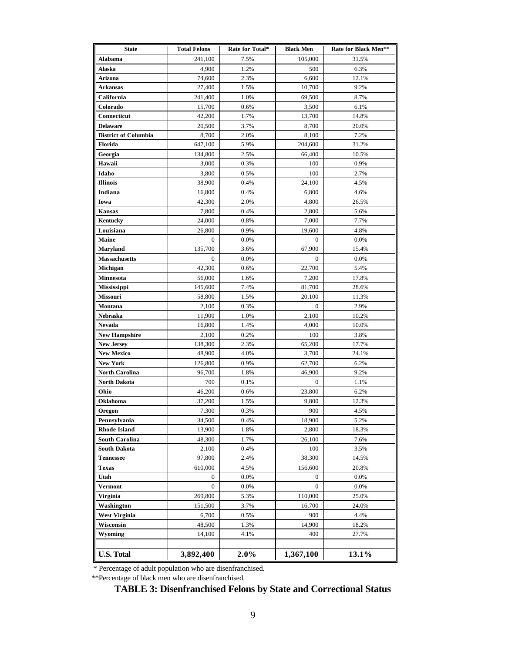| <b>State</b>                | <b>Total Felons</b> | Rate for Total* | <b>Black Men</b><br>Rate for Black Men** |       |
|-----------------------------|---------------------|-----------------|------------------------------------------|-------|
| Alabama                     | 241,100             | 7.5%            | 105,000                                  | 31.5% |
| Alaska                      | 4,900               | 1.2%            | 500                                      | 6.3%  |
| Arizona                     | 74,600              | 2.3%            | 6,600                                    | 12.1% |
| Arkansas                    | 27,400              | 1.5%            | 10,700                                   | 9.2%  |
| California                  | 241,400             | 1.0%            | 69,500                                   | 8.7%  |
| Colorado                    | 15,700              | 0.6%            | 3,500                                    | 6.1%  |
| Connecticut                 | 42,200              | 1.7%            | 13,700                                   | 14.8% |
| <b>Delaware</b>             | 20,500              | 3.7%            | 8,700                                    | 20.0% |
| <b>District of Columbia</b> | 8,700               | 2.0%            | 8,100                                    | 7.2%  |
| Florida                     | 647,100             | 5.9%            | 204,600                                  | 31.2% |
| Georgia                     | 134,800             | 2.5%            | 66,400                                   | 10.5% |
| Hawaii                      | 3,000               | 0.3%            | 100                                      | 0.9%  |
| Idaho                       | 3,800               | 0.5%            | 100                                      | 2.7%  |
| <b>Illinois</b>             | 38,900              | 0.4%            | 24,100                                   | 4.5%  |
| Indiana                     | 16,800              | 0.4%            | 6,800                                    | 4.6%  |
| Iowa                        | 42,300              | 2.0%            | 4,800                                    | 26.5% |
| <b>Kansas</b>               | 7,800               | 0.4%            | 2,800                                    | 5.6%  |
| <b>Kentucky</b>             | 24,000              | 0.8%            | 7,000                                    | 7.7%  |
| Louisiana                   | 26,800              | 0.9%            | 19,600                                   | 4.8%  |
| Maine                       | 0                   | 0.0%            | 0                                        | 0.0%  |
| <b>Maryland</b>             | 135,700             | 3.6%            | 67,900                                   | 15.4% |
| <b>Massachusetts</b>        | $\mathbf{0}$        | 0.0%            | $\boldsymbol{0}$                         | 0.0%  |
| Michigan                    | 42,300              | 0.6%            | 22,700                                   | 5.4%  |
| <b>Minnesota</b>            | 56,000              | 1.6%            | 7,200                                    | 17.8% |
| Mississippi                 | 145,600             | 7.4%            | 81,700                                   | 28.6% |
| <b>Missouri</b>             | 58,800              | 1.5%            | 20,100                                   | 11.3% |
| Montana                     | 2,100               | 0.3%            | 0                                        | 2.9%  |
| Nebraska                    | 11,900              | 1.0%            | 2,100                                    | 10.2% |
| Nevada                      | 16,800              | 1.4%            | 4,000                                    | 10.0% |
| <b>New Hampshire</b>        | 2,100               | 0.2%            | 100                                      | 3.8%  |
| <b>New Jersey</b>           | 138,300             | 2.3%            | 65,200                                   | 17.7% |
| <b>New Mexico</b>           | 48,900              | 4.0%            | 3,700                                    | 24.1% |
| <b>New York</b>             | 126,800             | 0.9%            | 62,700                                   | 6.2%  |
| <b>North Carolina</b>       | 96,700              | 1.8%            | 46,900                                   | 9.2%  |
| <b>North Dakota</b>         | 700                 | 0.1%            | $\mathbf{0}$                             | 1.1%  |
| Ohio                        | 46,200              | 0.6%            | 23,800                                   | 6.2%  |
| Oklahoma                    | 37,200              | 1.5%            | 9,800                                    | 12.3% |
| Oregon                      | 7.300               | 0.3%            | 900                                      | 4.5%  |
| Pennsylvania                | 34,500              | 0.4%            | 18,900                                   | 5.2%  |
| <b>Rhode Island</b>         | 13,900              | 1.8%            | 2,800                                    | 18.3% |
| <b>South Carolina</b>       | 48,300              | 1.7%            | 26,100                                   | 7.6%  |
| <b>South Dakota</b>         | 2,100               | 0.4%            | 100                                      | 3.5%  |
| <b>Tennessee</b>            | 97,800              | 2.4%            | 38,300                                   | 14.5% |
| Texas                       | 610,000             | 4.5%            | 156,600                                  | 20.8% |
| Utah                        | 0                   | $0.0\%$         | 0                                        | 0.0%  |
| Vermont                     | $\boldsymbol{0}$    | $0.0\%$         | 0                                        | 0.0%  |
| Virginia                    | 269,800             | 5.3%            | 110,000                                  | 25.0% |
| Washington                  | 151,500             | 3.7%            | 16,700                                   | 24.0% |
| West Virginia               | 6,700               | 0.5%            | 900                                      | 4.4%  |
| Wisconsin                   | 48,500              | 1.3%            | 14,900                                   | 18.2% |
| Wyoming                     | 14,100              | 4.1%            | 400                                      | 27.7% |
| <b>U.S. Total</b>           | 3,892,400           | 2.0%            | 1,367,100                                | 13.1% |

\* Percentage of adult population who are disenfranchised.

\*\*Percentage of black men who are disenfranchised.

## **TABLE 3: Disenfranchised Felons by State and Correctional Status**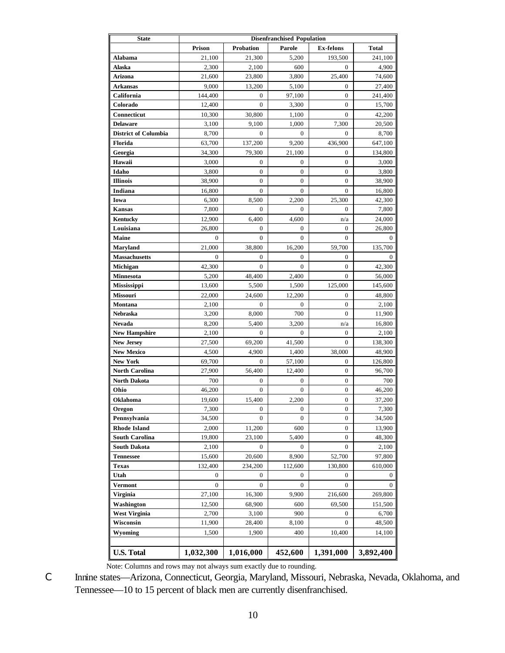| <b>State</b>                |                  | <b>Disenfranchised Population</b> |                                  |                  |                  |  |
|-----------------------------|------------------|-----------------------------------|----------------------------------|------------------|------------------|--|
|                             | Prison           | <b>Probation</b>                  | Parole                           | <b>Ex-felons</b> | Total            |  |
| Alabama                     | 21,100           | 21,300                            | 5,200                            | 193,500          | 241,100          |  |
| Alaska                      | 2,300            | 2,100                             | 600                              | $\mathbf{0}$     | 4,900            |  |
| Arizona                     | 21,600           | 23,800                            | 3,800                            | 25,400           | 74,600           |  |
| <b>Arkansas</b>             | 9,000            | 13,200                            | 5,100                            | 0                | 27,400           |  |
| California                  | 144,400          | $\mathbf{0}$                      | 97,100                           | 0                | 241,400          |  |
| Colorado                    | 12,400           | $\mathbf{0}$                      | 3,300                            | $\boldsymbol{0}$ | 15,700           |  |
| Connecticut                 | 10,300           | 30,800                            | 1,100                            | $\boldsymbol{0}$ | 42,200           |  |
| <b>Delaware</b>             | 3,100            | 9,100                             | 1,000                            | 7,300            | 20,500           |  |
| <b>District of Columbia</b> | 8,700            | $\boldsymbol{0}$                  | $\boldsymbol{0}$                 | $\boldsymbol{0}$ | 8,700            |  |
| Florida                     | 63,700           | 137,200                           | 9,200                            | 436,900          | 647,100          |  |
| Georgia                     | 34,300           | 79,300                            | 21,100                           | 0                | 134,800          |  |
| Hawaii                      | 3,000            | 0                                 | 0                                | 0                | 3,000            |  |
| Idaho                       | 3,800            | $\mathbf{0}$                      | $\boldsymbol{0}$                 | 0                | 3,800            |  |
| <b>Illinois</b>             | 38,900           | $\boldsymbol{0}$                  | $\boldsymbol{0}$                 | 0                | 38,900           |  |
| Indiana                     | 16,800           | $\boldsymbol{0}$                  | $\boldsymbol{0}$                 | 0                | 16,800           |  |
| Iowa                        | 6,300            | 8,500                             | 2,200                            | 25,300           | 42,300           |  |
| <b>Kansas</b>               | 7,800            | $\mathbf{0}$                      | $\mathbf{0}$                     | 0                | 7,800            |  |
| <b>Kentucky</b>             | 12,900           | 6,400                             | 4,600                            | n/a              | 24,000           |  |
| Louisiana                   | 26,800           | $\mathbf{0}$                      | $\boldsymbol{0}$                 | 0                | 26,800           |  |
| Maine                       | 0                | $\boldsymbol{0}$                  | $\boldsymbol{0}$                 | 0                | 0                |  |
| <b>Maryland</b>             | 21,000           | 38,800                            | 16,200                           | 59,700           | 135,700          |  |
| <b>Massachusetts</b>        | $\boldsymbol{0}$ | $\mathbf{0}$                      | $\mathbf{0}$                     | $\boldsymbol{0}$ | 0                |  |
| Michigan                    | 42,300           | $\mathbf{0}$                      | $\boldsymbol{0}$                 | $\boldsymbol{0}$ | 42,300           |  |
| <b>Minnesota</b>            | 5,200            | 48,400                            | 2,400                            | 0                | 56,000           |  |
| <b>Mississippi</b>          | 13,600           | 5,500                             | 1,500                            | 125,000          | 145,600          |  |
| <b>Missouri</b>             | 22,000           | 24,600                            | 12,200                           | 0                | 48,800           |  |
| Montana                     | 2,100            | $\mathbf{0}$                      | $\mathbf{0}$                     | $\boldsymbol{0}$ | 2,100            |  |
| Nebraska                    | 3,200            | 8,000                             | 700                              | $\boldsymbol{0}$ | 11,900           |  |
| Nevada                      | 8,200            | 5,400                             | 3,200                            | n/a              | 16,800           |  |
| <b>New Hampshire</b>        | 2,100            | $\mathbf{0}$                      | $\mathbf{0}$                     | 0                | 2,100            |  |
| <b>New Jersey</b>           | 27,500           | 69,200                            | 41,500                           | $\mathbf{0}$     | 138,300          |  |
| <b>New Mexico</b>           | 4,500            | 4,900                             | 1,400                            | 38,000           | 48,900           |  |
| New York                    | 69,700           | $\mathbf{0}$                      | 57,100                           | 0                | 126,800          |  |
| <b>North Carolina</b>       | 27,900           | 56,400                            | 12,400                           | $\boldsymbol{0}$ | 96,700           |  |
| <b>North Dakota</b>         | 700              | $\boldsymbol{0}$                  | $\mathbf{0}$                     | $\boldsymbol{0}$ | 700              |  |
| Ohio                        | 46,200           | 0                                 | 0                                | 0                | 46,200           |  |
| Oklahoma                    | 19,600           | 15,400                            | 2,200                            | $\boldsymbol{0}$ | 37,200           |  |
| Oregon<br>Pennsylvania      | 7,300<br>34,500  | $\boldsymbol{0}$<br>$\mathbf{0}$  | $\boldsymbol{0}$<br>$\mathbf{0}$ | 0<br>0           | 7,300<br>34,500  |  |
| <b>Rhode Island</b>         | 2,000            | 11,200                            | 600                              | 0                |                  |  |
| <b>South Carolina</b>       | 19,800           | 23,100                            | 5,400                            | 0                | 13,900<br>48,300 |  |
| <b>South Dakota</b>         | 2,100            | $\mathbf{0}$                      | $\mathbf{0}$                     | $\boldsymbol{0}$ | 2,100            |  |
| <b>Tennessee</b>            | 15,600           | 20,600                            | 8,900                            | 52,700           | 97,800           |  |
| <b>Texas</b>                | 132,400          | 234,200                           | 112,600                          | 130,800          | 610,000          |  |
| Utah                        | 0                | 0                                 | 0                                | 0                | 0                |  |
| <b>Vermont</b>              | 0                | $\boldsymbol{0}$                  | $\boldsymbol{0}$                 | 0                | 0                |  |
| <b>Virginia</b>             | 27,100           | 16,300                            | 9,900                            | 216,600          | 269,800          |  |
| Washington                  | 12,500           | 68,900                            | 600                              | 69,500           | 151,500          |  |
| West Virginia               | 2,700            | 3,100                             | 900                              | 0                | 6,700            |  |
| Wisconsin                   | 11,900           | 28,400                            | 8,100                            | 0                | 48,500           |  |
| Wyoming                     | 1,500            | 1,900                             | 400                              | 10,400           | 14,100           |  |
|                             |                  |                                   |                                  |                  |                  |  |
| <b>U.S. Total</b>           | 1,032,300        | 1,016,000                         | 452,600                          | 1,391,000        | 3,892,400        |  |

Note: Columns and rows may not always sum exactly due to rounding.

C Innine states—Arizona, Connecticut, Georgia, Maryland, Missouri, Nebraska, Nevada, Oklahoma, and Tennessee—10 to 15 percent of black men are currently disenfranchised.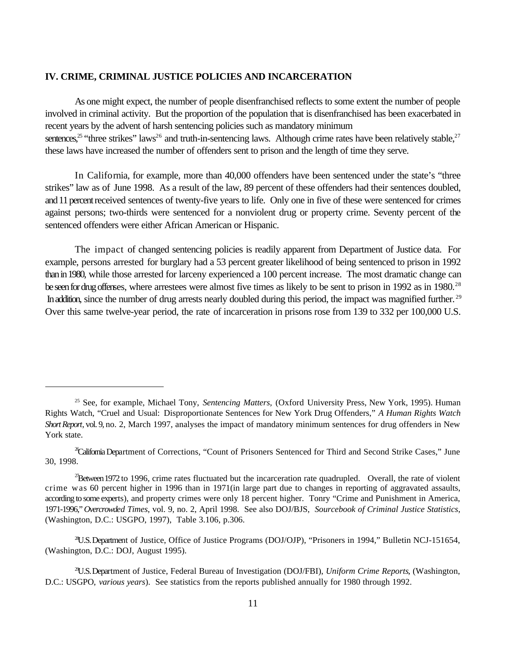## **IV. CRIME, CRIMINAL JUSTICE POLICIES AND INCARCERATION**

As one might expect, the number of people disenfranchised reflects to some extent the number of people involved in criminal activity. But the proportion of the population that is disenfranchised has been exacerbated in recent years by the advent of harsh sentencing policies such as mandatory minimum sentences,  $25$  "three strikes" laws  $26$  and truth-in-sentencing laws. Although crime rates have been relatively stable,  $27$ these laws have increased the number of offenders sent to prison and the length of time they serve.

In California, for example, more than 40,000 offenders have been sentenced under the state's "three strikes" law as of June 1998. As a result of the law, 89 percent of these offenders had their sentences doubled, and 11 percent received sentences of twenty-five years to life. Only one in five of these were sentenced for crimes against persons; two-thirds were sentenced for a nonviolent drug or property crime. Seventy percent of the sentenced offenders were either African American or Hispanic.

The impact of changed sentencing policies is readily apparent from Department of Justice data. For example, persons arrested for burglary had a 53 percent greater likelihood of being sentenced to prison in 1992 than in 1980, while those arrested for larceny experienced a 100 percent increase. The most dramatic change can be seen for drug offenses, where arrestees were almost five times as likely to be sent to prison in 1992 as in 1980.<sup>28</sup> In addition, since the number of drug arrests nearly doubled during this period, the impact was magnified further.<sup>29</sup> Over this same twelve-year period, the rate of incarceration in prisons rose from 139 to 332 per 100,000 U.S.

<sup>&</sup>lt;sup>25</sup> See, for example, Michael Tony, *Sentencing Matters*, (Oxford University Press, New York, 1995). Human Rights Watch, "Cruel and Usual: Disproportionate Sentences for New York Drug Offenders," *A Human Rights Watch Short Report*, vol. 9, no. 2, March 1997, analyses the impact of mandatory minimum sentences for drug offenders in New York state.

<sup>&</sup>lt;sup>2</sup>California Department of Corrections, "Count of Prisoners Sentenced for Third and Second Strike Cases," June 30, 1998.

 $^{27}$ Between 1972 to 1996, crime rates fluctuated but the incarceration rate quadrupled. Overall, the rate of violent crime was 60 percent higher in 1996 than in 1971(in large part due to changes in reporting of aggravated assaults, according to some experts), and property crimes were only 18 percent higher. Tonry "Crime and Punishment in America, 1971-1996," *Overcrowded Times*, vol. 9, no. 2, April 1998. See also DOJ/BJS, *Sourcebook of Criminal Justice Statistics*, (Washington, D.C.: USGPO, 1997), Table 3.106, p.306.

U.S.Department of Justice, Office of Justice Programs (DOJ/OJP), "Prisoners in 1994," Bulletin NCJ-151654, <sup>28</sup> (Washington, D.C.: DOJ, August 1995).

U.S.Department of Justice, Federal Bureau of Investigation (DOJ/FBI), *Uniform Crime Reports*, (Washington, <sup>29</sup> D.C.: USGPO, *various years*). See statistics from the reports published annually for 1980 through 1992.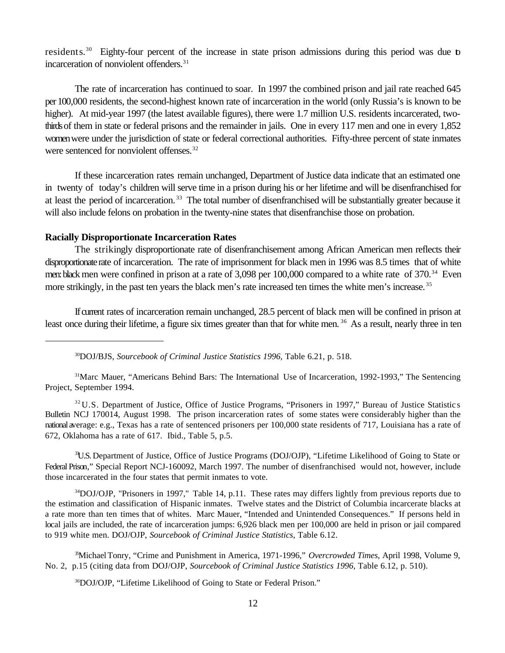residents.<sup>30</sup> Eighty-four percent of the increase in state prison admissions during this period was due to incarceration of nonviolent offenders.<sup>31</sup>

The rate of incarceration has continued to soar. In 1997 the combined prison and jail rate reached 645 per 100,000 residents, the second-highest known rate of incarceration in the world (only Russia's is known to be higher). At mid-year 1997 (the latest available figures), there were 1.7 million U.S. residents incarcerated, twothirds of them in state or federal prisons and the remainder in jails. One in every 117 men and one in every 1,852 women were under the jurisdiction of state or federal correctional authorities. Fifty-three percent of state inmates were sentenced for nonviolent offenses.<sup>32</sup>

If these incarceration rates remain unchanged, Department of Justice data indicate that an estimated one in twenty of today's children will serve time in a prison during his or her lifetime and will be disenfranchised for at least the period of incarceration.<sup>33</sup> The total number of disenfranchised will be substantially greater because it will also include felons on probation in the twenty-nine states that disenfranchise those on probation.

## **Racially Disproportionate Incarceration Rates**

The strikingly disproportionate rate of disenfranchisement among African American men reflects their disproportionate rate of incarceration. The rate of imprisonment for black men in 1996 was 8.5 times that of white men: black men were confined in prison at a rate of  $3,098$  per 100,000 compared to a white rate of  $370$ .<sup>34</sup> Even more strikingly, in the past ten years the black men's rate increased ten times the white men's increase.<sup>35</sup>

If current rates of incarceration remain unchanged, 28.5 percent of black men will be confined in prison at least once during their lifetime, a figure six times greater than that for white men.<sup>36</sup> As a result, nearly three in ten

<sup>30</sup>DOJ/BJS, *Sourcebook of Criminal Justice Statistics 1996*, Table 6.21, p. 518.

<sup>31</sup>Marc Mauer, "Americans Behind Bars: The International Use of Incarceration, 1992-1993," The Sentencing Project, September 1994.

 $32$ U.S. Department of Justice, Office of Justice Programs, "Prisoners in 1997," Bureau of Justice Statistic s Bulletin NCJ 170014, August 1998. The prison incarceration rates of some states were considerably higher than the national average: e.g., Texas has a rate of sentenced prisoners per 100,000 state residents of 717, Louisiana has a rate of 672, Oklahoma has a rate of 617. Ibid., Table 5, p.5.

<sup>33</sup>U.S. Department of Justice, Office of Justice Programs (DOJ/OJP), "Lifetime Likelihood of Going to State or Federal Prison," Special Report NCJ-160092, March 1997. The number of disenfranchised would not, however, include those incarcerated in the four states that permit inmates to vote.

 $\rm ^{34}DOJ/OJP$ , "Prisoners in 1997," Table 14, p.11. These rates may differs lightly from previous reports due to the estimation and classification of Hispanic inmates. Twelve states and the District of Columbia incarcerate blacks at a rate more than ten times that of whites. Marc Mauer, "Intended and Unintended Consequences." If persons held in local jails are included, the rate of incarceration jumps: 6,926 black men per 100,000 are held in prison or jail compared to 919 white men. DOJ/OJP, *Sourcebook of Criminal Justice Statistics*, Table 6.12.

<sup>35</sup>Michael Tonry, "Crime and Punishment in America, 1971-1996," *Overcrowded Times*, April 1998, Volume 9, No. 2, p.15 (citing data from DOJ/OJP, *Sourcebook of Criminal Justice Statistics 1996,* Table 6.12, p. 510).

<sup>36</sup>DOJ/OJP, "Lifetime Likelihood of Going to State or Federal Prison."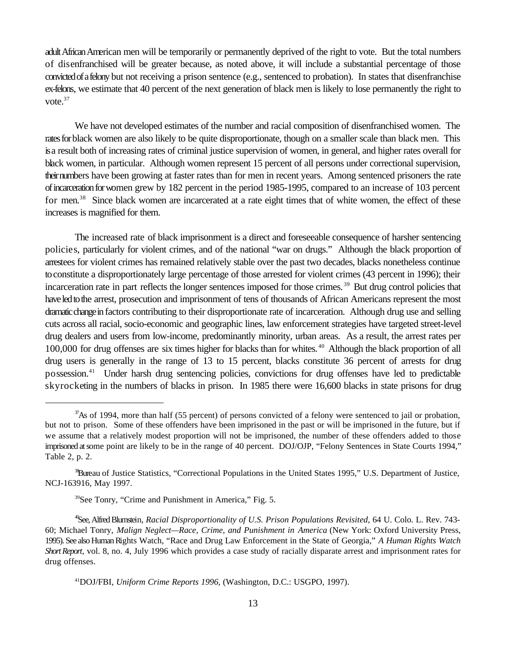adult African American men will be temporarily or permanently deprived of the right to vote. But the total numbers of disenfranchised will be greater because, as noted above, it will include a substantial percentage of those convicted of a felony but not receiving a prison sentence (e.g., sentenced to probation). In states that disenfranchise ex-felons, we estimate that 40 percent of the next generation of black men is likely to lose permanently the right to vote.<sup>37</sup>

We have not developed estimates of the number and racial composition of disenfranchised women. The rates for black women are also likely to be quite disproportionate, though on a smaller scale than black men. This is a result both of increasing rates of criminal justice supervision of women, in general, and higher rates overall for black women, in particular. Although women represent 15 percent of all persons under correctional supervision, their numbers have been growing at faster rates than for men in recent years. Among sentenced prisoners the rate of incarceration for women grew by 182 percent in the period 1985-1995, compared to an increase of 103 percent for men.<sup>38</sup> Since black women are incarcerated at a rate eight times that of white women, the effect of these increases is magnified for them.

The increased rate of black imprisonment is a direct and foreseeable consequence of harsher sentencing policies, particularly for violent crimes, and of the national "war on drugs." Although the black proportion of arrestees for violent crimes has remained relatively stable over the past two decades, blacks nonetheless continue to constitute a disproportionately large percentage of those arrested for violent crimes (43 percent in 1996); their incarceration rate in part reflects the longer sentences imposed for those crimes.<sup>39</sup> But drug control policies that have led to the arrest, prosecution and imprisonment of tens of thousands of African Americans represent the most dramatic change in factors contributing to their disproportionate rate of incarceration. Although drug use and selling cuts across all racial, socio-economic and geographic lines, law enforcement strategies have targeted street-level drug dealers and users from low-income, predominantly minority, urban areas. As a result, the arrest rates per 100,000 for drug offenses are six times higher for blacks than for whites.<sup>40</sup> Although the black proportion of all drug users is generally in the range of 13 to 15 percent, blacks constitute 36 percent of arrests for drug possession.<sup>41</sup> Under harsh drug sentencing policies, convictions for drug offenses have led to predictable skyrocketing in the numbers of blacks in prison. In 1985 there were 16,600 blacks in state prisons for drug

 $\frac{37}{9}$ As of 1994, more than half (55 percent) of persons convicted of a felony were sentenced to jail or probation, but not to prison. Some of these offenders have been imprisoned in the past or will be imprisoned in the future, but if we assume that a relatively modest proportion will not be imprisoned, the number of these offenders added to those imprisoned at some point are likely to be in the range of 40 percent. DOJ/OJP, "Felony Sentences in State Courts 1994," Table 2, p. 2.

<sup>&</sup>lt;sup>88</sup>Bureau of Justice Statistics, "Correctional Populations in the United States 1995," U.S. Department of Justice, NCJ-163916, May 1997.

 $39$ See Tonry, "Crime and Punishment in America," Fig. 5.

See,Alfred Blumstein, *Racial Disproportionality of U.S. Prison Populations Revisited*, 64 U. Colo. L. Rev. 743- <sup>40</sup> 60; Michael Tonry, *Malign Neglect—Race, Crime, and Punishment in America* (New York: Oxford University Press, 1995). See also Human Rights Watch, "Race and Drug Law Enforcement in the State of Georgia," *A Human Rights Watch Short Report*, vol. 8, no. 4, July 1996 which provides a case study of racially disparate arrest and imprisonment rates for drug offenses.

<sup>&</sup>lt;sup>41</sup>DOJ/FBI, *Uniform Crime Reports 1996*, (Washington, D.C.: USGPO, 1997).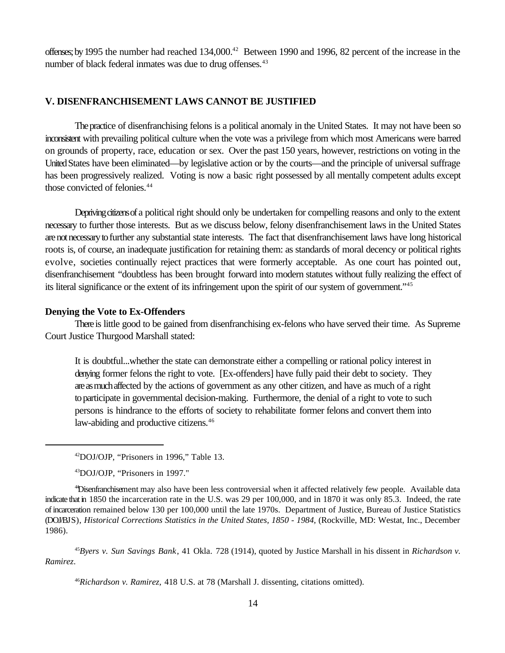offenses; by 1995 the number had reached  $134,000$ .<sup>42</sup> Between 1990 and 1996, 82 percent of the increase in the number of black federal inmates was due to drug offenses.<sup>43</sup>

## **V. DISENFRANCHISEMENT LAWS CANNOT BE JUSTIFIED**

The practice of disenfranchising felons is a political anomaly in the United States. It may not have been so inconsistent with prevailing political culture when the vote was a privilege from which most Americans were barred on grounds of property, race, education or sex. Over the past 150 years, however, restrictions on voting in the United States have been eliminated—by legislative action or by the courts—and the principle of universal suffrage has been progressively realized. Voting is now a basic right possessed by all mentally competent adults except those convicted of felonies.<sup>44</sup>

Depriving citizens of a political right should only be undertaken for compelling reasons and only to the extent necessary to further those interests. But as we discuss below, felony disenfranchisement laws in the United States are not necessary to further any substantial state interests. The fact that disenfranchisement laws have long historical roots is, of course, an inadequate justification for retaining them: as standards of moral decency or political rights evolve, societies continually reject practices that were formerly acceptable. As one court has pointed out, disenfranchisement "doubtless has been brought forward into modern statutes without fully realizing the effect of its literal significance or the extent of its infringement upon the spirit of our system of government."<sup>45</sup>

## **Denying the Vote to Ex-Offenders**

There is little good to be gained from disenfranchising ex-felons who have served their time. As Supreme Court Justice Thurgood Marshall stated:

It is doubtful...whether the state can demonstrate either a compelling or rational policy interest in denying former felons the right to vote. [Ex-offenders] have fully paid their debt to society. They are as much affected by the actions of government as any other citizen, and have as much of a right to participate in governmental decision-making. Furthermore, the denial of a right to vote to such persons is hindrance to the efforts of society to rehabilitate former felons and convert them into law-abiding and productive citizens.<sup>46</sup>

Disenfranchisement may also have been less controversial when it affected relatively few people. Available data <sup>44</sup> indicate that in 1850 the incarceration rate in the U.S. was 29 per 100,000, and in 1870 it was only 85.3. Indeed, the rate of incarceration remained below 130 per 100,000 until the late 1970s. Department of Justice, Bureau of Justice Statistics (DOJ/BJS), *Historical Corrections Statistics in the United States, 1850 - 1984,* (Rockville, MD: Westat, Inc., December 1986).

*Byers v. Sun Savings Bank*, 41 Okla. 728 (1914), quoted by Justice Marshall in his dissent in *Richardson v.* <sup>45</sup> *Ramirez*.

<sup>46</sup>Richardson v. Ramirez, 418 U.S. at 78 (Marshall J. dissenting, citations omitted).

 $\rm ^{42}DOJ/OJP$ , "Prisoners in 1996," Table 13.

<sup>&</sup>lt;sup>43</sup>DOJ/OJP, "Prisoners in 1997."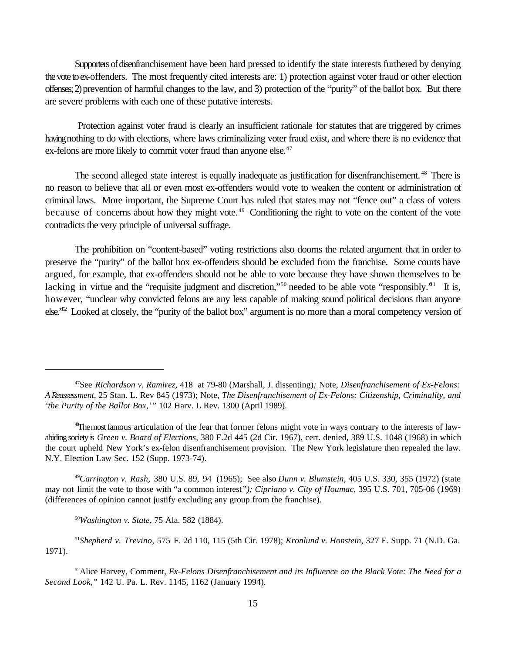Supporters of disenfranchisement have been hard pressed to identify the state interests furthered by denying the vote to ex-offenders. The most frequently cited interests are: 1) protection against voter fraud or other election offenses; 2) prevention of harmful changes to the law, and 3) protection of the "purity" of the ballot box. But there are severe problems with each one of these putative interests.

 Protection against voter fraud is clearly an insufficient rationale for statutes that are triggered by crimes having nothing to do with elections, where laws criminalizing voter fraud exist, and where there is no evidence that ex-felons are more likely to commit voter fraud than anyone else.<sup>47</sup>

The second alleged state interest is equally inadequate as justification for disenfranchisement.<sup>48</sup> There is no reason to believe that all or even most ex-offenders would vote to weaken the content or administration of criminal laws. More important, the Supreme Court has ruled that states may not "fence out" a class of voters because of concerns about how they might vote.<sup>49</sup> Conditioning the right to vote on the content of the vote contradicts the very principle of universal suffrage.

The prohibition on "content-based" voting restrictions also dooms the related argument that in order to preserve the "purity" of the ballot box ex-offenders should be excluded from the franchise. Some courts have argued, for example, that ex-offenders should not be able to vote because they have shown themselves to be lacking in virtue and the "requisite judgment and discretion,"<sup>50</sup> needed to be able vote "responsibly."<sup>51</sup> It is, however, "unclear why convicted felons are any less capable of making sound political decisions than anyone else."<sup>52</sup> Looked at closely, the "purity of the ballot box" argument is no more than a moral competency version of

<sup>49</sup> Carrington v. Rash, 380 U.S. 89, 94 (1965); See also Dunn v. Blumstein, 405 U.S. 330, 355 (1972) (state may not limit the vote to those with "a common interest*"); Cipriano v. City of Houmac*, 395 U.S. 701, 705-06 (1969) (differences of opinion cannot justify excluding any group from the franchise).

<sup>50</sup>Washington v. State, 75 Ala. 582 (1884).

<sup>51</sup>Shepherd v. Trevino, 575 F. 2d 110, 115 (5th Cir. 1978); *Kronlund v. Honstein*, 327 F. Supp. 71 (N.D. Ga. 1971).

<sup>52</sup> Alice Harvey, Comment, *Ex-Felons Disenfranchisement and its Influence on the Black Vote: The Need for a Second Look,"* 142 U. Pa. L. Rev. 1145, 1162 (January 1994).

See *Richardson v. Ramirez,* 418 at 79-80 (Marshall, J. dissenting)*;* Note, *Disenfranchisement of Ex-Felons:* <sup>47</sup> *A Reassessment*, 25 Stan. L. Rev 845 (1973); Note, *The Disenfranchisement of Ex-Felons: Citizenship, Criminality, and 'the Purity of the Ballot Box,'"* 102 Harv. L Rev. 1300 (April 1989).

<sup>&</sup>lt;sup>48</sup>Themost famous articulation of the fear that former felons might vote in ways contrary to the interests of lawabiding society is *Green v. Board of Elections*, 380 F.2d 445 (2d Cir. 1967), cert. denied, 389 U.S. 1048 (1968) in which the court upheld New York's ex-felon disenfranchisement provision. The New York legislature then repealed the law. N.Y. Election Law Sec. 152 (Supp. 1973-74).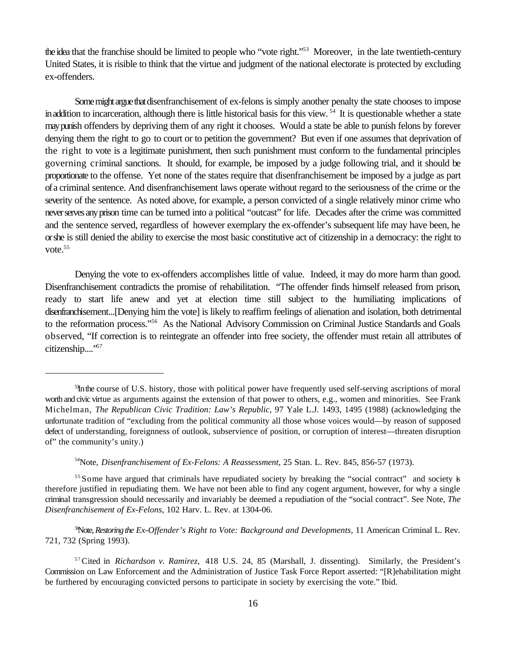the idea that the franchise should be limited to people who "vote right."<sup>53</sup> Moreover, in the late twentieth-century United States, it is risible to think that the virtue and judgment of the national electorate is protected by excluding ex-offenders.

Some might argue that disenfranchisement of ex-felons is simply another penalty the state chooses to impose in addition to incarceration, although there is little historical basis for this view.  $54$  It is questionable whether a state may punish offenders by depriving them of any right it chooses. Would a state be able to punish felons by forever denying them the right to go to court or to petition the government? But even if one assumes that deprivation of the right to vote is a legitimate punishment, then such punishment must conform to the fundamental principles governing criminal sanctions. It should, for example, be imposed by a judge following trial, and it should be proportionate to the offense. Yet none of the states require that disenfranchisement be imposed by a judge as part of a criminal sentence. And disenfranchisement laws operate without regard to the seriousness of the crime or the severity of the sentence. As noted above, for example, a person convicted of a single relatively minor crime who never serves any prison time can be turned into a political "outcast" for life. Decades after the crime was committed and the sentence served, regardless of however exemplary the ex-offender's subsequent life may have been, he or she is still denied the ability to exercise the most basic constitutive act of citizenship in a democracy: the right to vote. $55$ 

Denying the vote to ex-offenders accomplishes little of value. Indeed, it may do more harm than good. Disenfranchisement contradicts the promise of rehabilitation. "The offender finds himself released from prison, ready to start life anew and yet at election time still subject to the humiliating implications of disenfranchisement...[Denying him the vote] is likely to reaffirm feelings of alienation and isolation, both detrimental to the reformation process."<sup>56</sup> As the National Advisory Commission on Criminal Justice Standards and Goals observed, "If correction is to reintegrate an offender into free society, the offender must retain all attributes of citizenship...."<sup>57</sup>

<sup>55</sup> Some have argued that criminals have repudiated society by breaking the "social contract" and society is therefore justified in repudiating them. We have not been able to find any cogent argument, however, for why a single criminal transgression should necessarily and invariably be deemed a repudiation of the "social contract". See Note, *The Disenfranchisement of Ex-Felons*, 102 Harv. L. Rev. at 1304-06.

<sup>56</sup>Note, Restoring the Ex-Offender's Right to Vote: Background and Developments, 11 American Criminal L. Rev. 721, 732 (Spring 1993).

<sup>57</sup>Cited in *Richardson v. Ramirez*, 418 U.S. 24, 85 (Marshall, J. dissenting). Similarly, the President's Commission on Law Enforcement and the Administration of Justice Task Force Report asserted: "[R]ehabilitation might be furthered by encouraging convicted persons to participate in society by exercising the vote." Ibid.

Inthe course of U.S. history, those with political power have frequently used self-serving ascriptions of moral <sup>53</sup> worth and civic virtue as arguments against the extension of that power to others, e.g., women and minorities. See Frank Michelman, *The Republican Civic Tradition: Law's Republic*, 97 Yale L.J. 1493, 1495 (1988) (acknowledging the unfortunate tradition of "excluding from the political community all those whose voices would—by reason of supposed defect of understanding, foreignness of outlook, subservience of position, or corruption of interest—threaten disruption of" the community's unity.)

<sup>&</sup>lt;sup>54</sup>Note, *Disenfranchisement of Ex-Felons: A Reassessment*, 25 Stan. L. Rev. 845, 856-57 (1973).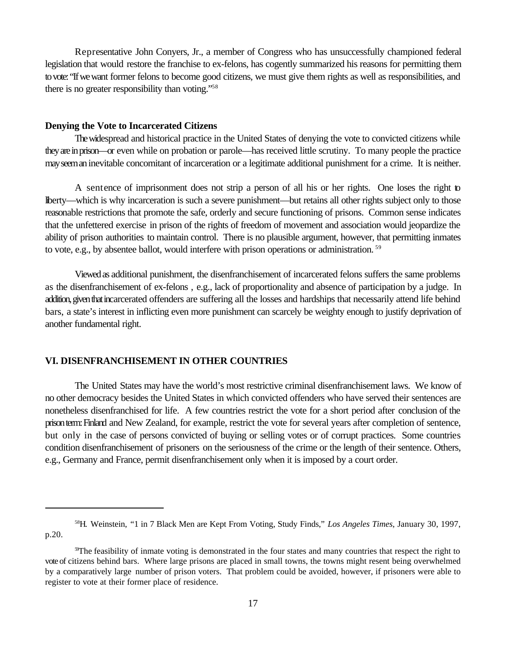Representative John Conyers, Jr., a member of Congress who has unsuccessfully championed federal legislation that would restore the franchise to ex-felons, has cogently summarized his reasons for permitting them to vote: "If we want former felons to become good citizens, we must give them rights as well as responsibilities, and there is no greater responsibility than voting."<sup>58</sup>

## **Denying the Vote to Incarcerated Citizens**

The widespread and historical practice in the United States of denying the vote to convicted citizens while they are in prison—or even while on probation or parole—has received little scrutiny. To many people the practice may seem an inevitable concomitant of incarceration or a legitimate additional punishment for a crime. It is neither.

A sentence of imprisonment does not strip a person of all his or her rights. One loses the right to liberty—which is why incarceration is such a severe punishment—but retains all other rights subject only to those reasonable restrictions that promote the safe, orderly and secure functioning of prisons. Common sense indicates that the unfettered exercise in prison of the rights of freedom of movement and association would jeopardize the ability of prison authorities to maintain control. There is no plausible argument, however, that permitting inmates to vote, e.g., by absentee ballot, would interfere with prison operations or administration.<sup>59</sup>

Viewed as additional punishment, the disenfranchisement of incarcerated felons suffers the same problems as the disenfranchisement of ex-felons , e.g., lack of proportionality and absence of participation by a judge. In addition, given that incarcerated offenders are suffering all the losses and hardships that necessarily attend life behind bars, a state's interest in inflicting even more punishment can scarcely be weighty enough to justify deprivation of another fundamental right.

## **VI. DISENFRANCHISEMENT IN OTHER COUNTRIES**

 The United States may have the world's most restrictive criminal disenfranchisement laws. We know of no other democracy besides the United States in which convicted offenders who have served their sentences are nonetheless disenfranchised for life. A few countries restrict the vote for a short period after conclusion of the prison term: Finland and New Zealand, for example, restrict the vote for several years after completion of sentence, but only in the case of persons convicted of buying or selling votes or of corrupt practices. Some countries condition disenfranchisement of prisoners on the seriousness of the crime or the length of their sentence. Others, e.g., Germany and France, permit disenfranchisement only when it is imposed by a court order.

<sup>&</sup>lt;sup>58</sup>H. Weinstein, "1 in 7 Black Men are Kept From Voting, Study Finds," *Los Angeles Times*, January 30, 1997, p.20.

 $^9$ The feasibility of inmate voting is demonstrated in the four states and many countries that respect the right to vote of citizens behind bars. Where large prisons are placed in small towns, the towns might resent being overwhelmed by a comparatively large number of prison voters. That problem could be avoided, however, if prisoners were able to register to vote at their former place of residence.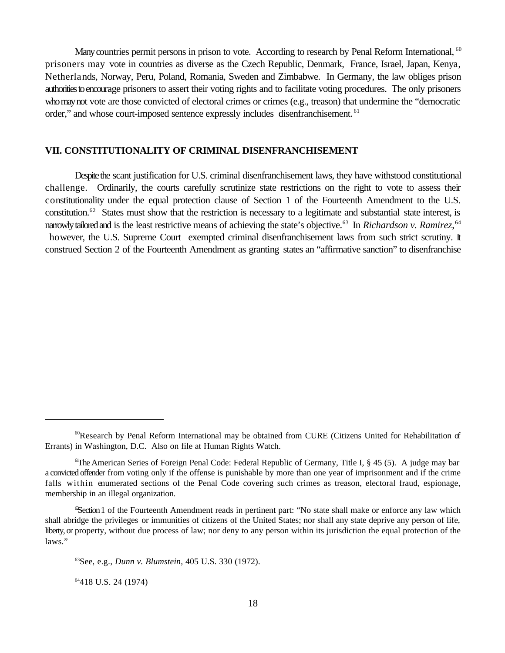Many countries permit persons in prison to vote. According to research by Penal Reform International, <sup>60</sup> prisoners may vote in countries as diverse as the Czech Republic, Denmark, France, Israel, Japan, Kenya, Netherlands, Norway, Peru, Poland, Romania, Sweden and Zimbabwe. In Germany, the law obliges prison authorities to encourage prisoners to assert their voting rights and to facilitate voting procedures. The only prisoners who may not vote are those convicted of electoral crimes or crimes (e.g., treason) that undermine the "democratic order," and whose court-imposed sentence expressly includes disenfranchisement. <sup>61</sup>

## **VII. CONSTITUTIONALITY OF CRIMINAL DISENFRANCHISEMENT**

Despite the scant justification for U.S. criminal disenfranchisement laws, they have withstood constitutional challenge. Ordinarily, the courts carefully scrutinize state restrictions on the right to vote to assess their constitutionality under the equal protection clause of Section 1 of the Fourteenth Amendment to the U.S. constitution.<sup>62</sup> States must show that the restriction is necessary to a legitimate and substantial state interest, is narrowly tailored and is the least restrictive means of achieving the state's objective.<sup>63</sup> In *Richardson v. Ramirez*, <sup>64</sup> however, the U.S. Supreme Court exempted criminal disenfranchisement laws from such strict scrutiny. It construed Section 2 of the Fourteenth Amendment as granting states an "affirmative sanction" to disenfranchise

<sup>64</sup>418 U.S. 24 (1974)

<sup>&</sup>lt;sup>60</sup>Research by Penal Reform International may be obtained from CURE (Citizens United for Rehabilitation of Errants) in Washington, D.C. Also on file at Human Rights Watch.

<sup>&</sup>lt;sup>6</sup>The American Series of Foreign Penal Code: Federal Republic of Germany, Title I,  $\S$  45 (5). A judge may bar a convicted offender from voting only if the offense is punishable by more than one year of imprisonment and if the crime falls within enumerated sections of the Penal Code covering such crimes as treason, electoral fraud, espionage, membership in an illegal organization.

Section1 of the Fourteenth Amendment reads in pertinent part: "No state shall make or enforce any law which <sup>62</sup> shall abridge the privileges or immunities of citizens of the United States; nor shall any state deprive any person of life, liberty, or property, without due process of law; nor deny to any person within its jurisdiction the equal protection of the laws."

<sup>&</sup>lt;sup>63</sup>See, e.g., *Dunn v. Blumstein*, 405 U.S. 330 (1972).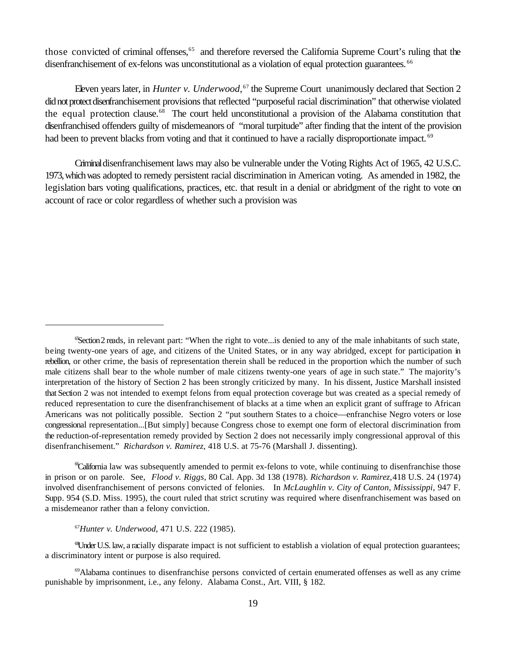those convicted of criminal offenses,<sup>65</sup> and therefore reversed the California Supreme Court's ruling that the disenfranchisement of ex-felons was unconstitutional as a violation of equal protection guarantees. <sup>66</sup>

Eleven years later, in *Hunter v. Underwood*, <sup>67</sup> the Supreme Court unanimously declared that Section 2 did not protect disenfranchisement provisions that reflected "purposeful racial discrimination" that otherwise violated the equal protection clause.<sup>68</sup> The court held unconstitutional a provision of the Alabama constitution that disenfranchised offenders guilty of misdemeanors of "moral turpitude" after finding that the intent of the provision had been to prevent blacks from voting and that it continued to have a racially disproportionate impact. <sup>69</sup>

Criminal disenfranchisement laws may also be vulnerable under the Voting Rights Act of 1965, 42 U.S.C. 1973, which was adopted to remedy persistent racial discrimination in American voting. As amended in 1982, the legislation bars voting qualifications, practices, etc. that result in a denial or abridgment of the right to vote on account of race or color regardless of whether such a provision was

<sup>"</sup>California law was subsequently amended to permit ex-felons to vote, while continuing to disenfranchise those in prison or on parole. See, *Flood v. Riggs*, 80 Cal. App. 3d 138 (1978). *Richardson v. Ramirez,*418 U.S. 24 (1974) involved disenfranchisement of persons convicted of felonies. In *McLaughlin v. City of Canton, Mississippi*, 947 F. Supp. 954 (S.D. Miss. 1995), the court ruled that strict scrutiny was required where disenfranchisement was based on a misdemeanor rather than a felony conviction.

*Hunter v. Underwood*, 471 U.S. 222 (1985). <sup>67</sup>

UnderU.S. law, a racially disparate impact is not sufficient to establish a violation of equal protection guarantees; <sup>68</sup> a discriminatory intent or purpose is also required.

 $\degree$ Alabama continues to disenfranchise persons convicted of certain enumerated offenses as well as any crime punishable by imprisonment, i.e., any felony. Alabama Const., Art. VIII, § 182.

<sup>&</sup>lt;sup>65</sup>Section2 reads, in relevant part: "When the right to vote...is denied to any of the male inhabitants of such state, being twenty-one years of age, and citizens of the United States, or in any way abridged, except for participation in rebellion, or other crime, the basis of representation therein shall be reduced in the proportion which the number of such male citizens shall bear to the whole number of male citizens twenty-one years of age in such state." The majority's interpretation of the history of Section 2 has been strongly criticized by many. In his dissent, Justice Marshall insisted that Section 2 was not intended to exempt felons from equal protection coverage but was created as a special remedy of reduced representation to cure the disenfranchisement of blacks at a time when an explicit grant of suffrage to African Americans was not politically possible. Section 2 "put southern States to a choice—enfranchise Negro voters or lose congressional representation...[But simply] because Congress chose to exempt one form of electoral discrimination from the reduction-of-representation remedy provided by Section 2 does not necessarily imply congressional approval of this disenfranchisement." *Richardson v. Ramirez*, 418 U.S. at 75-76 (Marshall J. dissenting).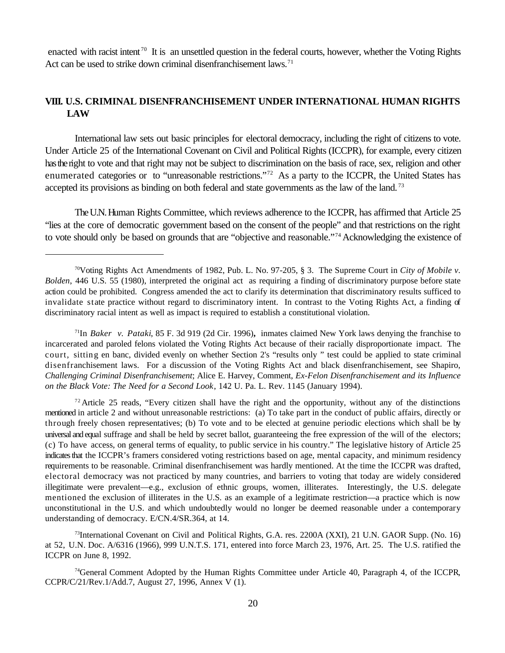enacted with racist intent<sup>70</sup> It is an unsettled question in the federal courts, however, whether the Voting Rights Act can be used to strike down criminal disenfranchisement laws.<sup>71</sup>

## **VIII. U.S. CRIMINAL DISENFRANCHISEMENT UNDER INTERNATIONAL HUMAN RIGHTS LAW**

International law sets out basic principles for electoral democracy, including the right of citizens to vote. Under Article 25 of the International Covenant on Civil and Political Rights (ICCPR), for example, every citizen has the right to vote and that right may not be subject to discrimination on the basis of race, sex, religion and other enumerated categories or to "unreasonable restrictions."<sup>72</sup> As a party to the ICCPR, the United States has accepted its provisions as binding on both federal and state governments as the law of the land.<sup>73</sup>

The U.N. Human Rights Committee, which reviews adherence to the ICCPR, has affirmed that Article 25 "lies at the core of democratic government based on the consent of the people" and that restrictions on the right to vote should only be based on grounds that are "objective and reasonable."<sup>74</sup> Acknowledging the existence of

In *Baker v. Pataki*, 85 F. 3d 919 (2d Cir. 1996)**,** inmates claimed New York laws denying the franchise to <sup>71</sup> incarcerated and paroled felons violated the Voting Rights Act because of their racially disproportionate impact. The court, sitting en banc, divided evenly on whether Section 2's "results only " test could be applied to state criminal disenfranchisement laws. For a discussion of the Voting Rights Act and black disenfranchisement, see Shapiro, *Challenging Criminal Disenfranchisement*; Alice E. Harvey, Comment, *Ex-Felon Disenfranchisement and its Influence on the Black Vote: The Need for a Second Look*, 142 U. Pa. L. Rev. 1145 (January 1994).

<sup>72</sup> Article 25 reads, "Every citizen shall have the right and the opportunity, without any of the distinctions mentioned in article 2 and without unreasonable restrictions: (a) To take part in the conduct of public affairs, directly or through freely chosen representatives; (b) To vote and to be elected at genuine periodic elections which shall be by universal and equal suffrage and shall be held by secret ballot, guaranteeing the free expression of the will of the electors; (c) To have access, on general terms of equality, to public service in his country." The legislative history of Article 25 indicates that the ICCPR's framers considered voting restrictions based on age, mental capacity, and minimum residency requirements to be reasonable. Criminal disenfranchisement was hardly mentioned. At the time the ICCPR was drafted, electoral democracy was not practiced by many countries, and barriers to voting that today are widely considered illegitimate were prevalent—e.g., exclusion of ethnic groups, women, illiterates. Interestingly, the U.S. delegate mentioned the exclusion of illiterates in the U.S. as an example of a legitimate restriction—a practice which is now unconstitutional in the U.S. and which undoubtedly would no longer be deemed reasonable under a contemporary understanding of democracy. E/CN.4/SR.364, at 14.

<sup>73</sup>International Covenant on Civil and Political Rights, G.A. res. 2200A (XXI), 21 U.N. GAOR Supp. (No. 16) at 52, U.N. Doc. A/6316 (1966), 999 U.N.T.S. 171, entered into force March 23, 1976, Art. 25. The U.S. ratified the ICCPR on June 8, 1992.

<sup>74</sup>General Comment Adopted by the Human Rights Committee under Article 40, Paragraph 4, of the ICCPR, CCPR/C/21/Rev.1/Add.7, August 27, 1996, Annex V (1).

<sup>&</sup>lt;sup>70</sup>Voting Rights Act Amendments of 1982, Pub. L. No. 97-205, § 3. The Supreme Court in *City of Mobile v*. *Bolden*, 446 U.S. 55 (1980), interpreted the original act as requiring a finding of discriminatory purpose before state action could be prohibited. Congress amended the act to clarify its determination that discriminatory results sufficed to invalidate state practice without regard to discriminatory intent. In contrast to the Voting Rights Act, a finding of discriminatory racial intent as well as impact is required to establish a constitutional violation.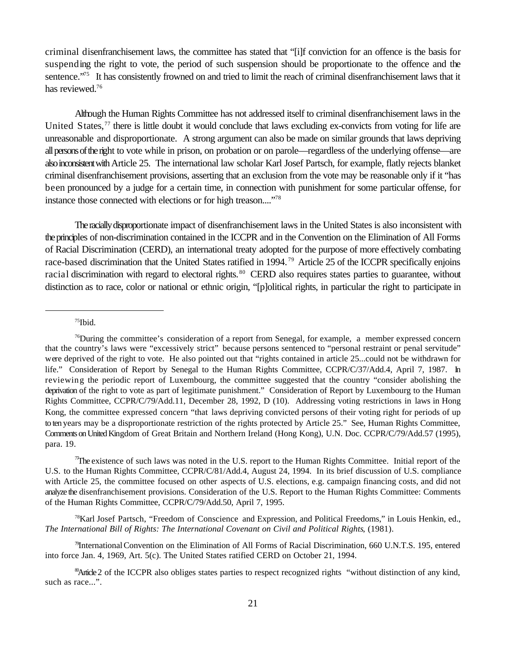criminal disenfranchisement laws, the committee has stated that "[i]f conviction for an offence is the basis for suspending the right to vote, the period of such suspension should be proportionate to the offence and the sentence."<sup>75</sup> It has consistently frowned on and tried to limit the reach of criminal disenfranchisement laws that it has reviewed.<sup>76</sup>

Although the Human Rights Committee has not addressed itself to criminal disenfranchisement laws in the United States, $77$  there is little doubt it would conclude that laws excluding ex-convicts from voting for life are unreasonable and disproportionate. A strong argument can also be made on similar grounds that laws depriving all persons of the right to vote while in prison, on probation or on parole—regardless of the underlying offense—are also inconsistent with Article 25. The international law scholar Karl Josef Partsch, for example, flatly rejects blanket criminal disenfranchisement provisions, asserting that an exclusion from the vote may be reasonable only if it "has been pronounced by a judge for a certain time, in connection with punishment for some particular offense, for instance those connected with elections or for high treason...."<sup>78</sup>

The racially disproportionate impact of disenfranchisement laws in the United States is also inconsistent with the principles of non-discrimination contained in the ICCPR and in the Convention on the Elimination of All Forms of Racial Discrimination (CERD), an international treaty adopted for the purpose of more effectively combating race-based discrimination that the United States ratified in 1994.<sup>79</sup> Article 25 of the ICCPR specifically enjoins racial discrimination with regard to electoral rights.<sup>80</sup> CERD also requires states parties to guarantee, without distinction as to race, color or national or ethnic origin, "[p]olitical rights, in particular the right to participate in

 $75$ Ibid.

 $^7$ The existence of such laws was noted in the U.S. report to the Human Rights Committee. Initial report of the U.S. to the Human Rights Committee, CCPR/C/81/Add.4, August 24, 1994. In its brief discussion of U.S. compliance with Article 25, the committee focused on other aspects of U.S. elections, e.g. campaign financing costs, and did not analyze the disenfranchisement provisions. Consideration of the U.S. Report to the Human Rights Committee: Comments of the Human Rights Committee, CCPR/C/79/Add.50, April 7, 1995.

<sup>78</sup>Karl Josef Partsch, "Freedom of Conscience and Expression, and Political Freedoms," in Louis Henkin, ed., *The International Bill of Rights: The International Covenant on Civil and Political Rights*, (1981).

<sup>79</sup>International Convention on the Elimination of All Forms of Racial Discrimination, 660 U.N.T.S. 195, entered into force Jan. 4, 1969, Art. 5(c). The United States ratified CERD on October 21, 1994.

 $\alpha$ Article 2 of the ICCPR also obliges states parties to respect recognized rights "without distinction of any kind, such as race...".

 $\frac{76}{2}$ During the committee's consideration of a report from Senegal, for example, a member expressed concern that the country's laws were "excessively strict" because persons sentenced to "personal restraint or penal servitude" were deprived of the right to vote. He also pointed out that "rights contained in article 25...could not be withdrawn for life." Consideration of Report by Senegal to the Human Rights Committee, CCPR/C/37/Add.4, April 7, 1987. In reviewin g the periodic report of Luxembourg, the committee suggested that the country "consider abolishing the deprivation of the right to vote as part of legitimate punishment." Consideration of Report by Luxembourg to the Human Rights Committee, CCPR/C/79/Add.11, December 28, 1992, D (10). Addressing voting restrictions in laws in Hong Kong, the committee expressed concern "that laws depriving convicted persons of their voting right for periods of up to ten years may be a disproportionate restriction of the rights protected by Article 25."See, Human Rights Committee, Comments on United Kingdom of Great Britain and Northern Ireland (Hong Kong), U.N. Doc. CCPR/C/79/Add.57 (1995), para. 19.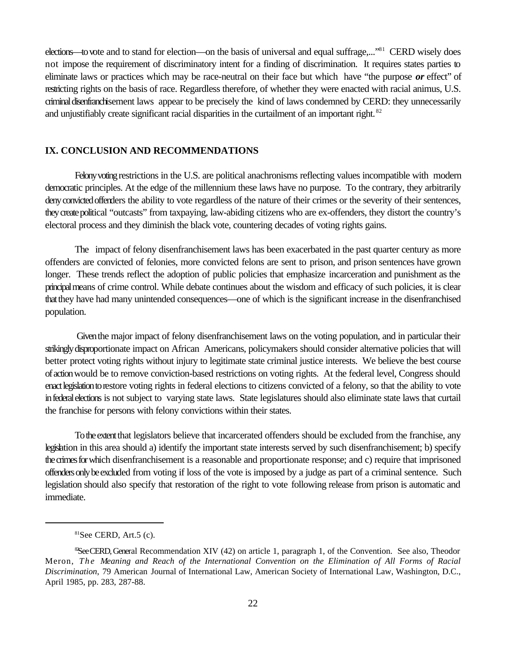elections—to vote and to stand for election—on the basis of universal and equal suffrage,..."<sup>81</sup> CERD wisely does not impose the requirement of discriminatory intent for a finding of discrimination. It requires states parties to eliminate laws or practices which may be race-neutral on their face but which have "the purpose *or* effect" of restricting rights on the basis of race. Regardless therefore, of whether they were enacted with racial animus, U.S. criminal disenfranchisement laws appear to be precisely the kind of laws condemned by CERD: they unnecessarily and unjustifiably create significant racial disparities in the curtailment of an important right. <sup>82</sup>

## **IX. CONCLUSION AND RECOMMENDATIONS**

Felony voting restrictions in the U.S. are political anachronisms reflecting values incompatible with modern democratic principles. At the edge of the millennium these laws have no purpose. To the contrary, they arbitrarily deny convicted offenders the ability to vote regardless of the nature of their crimes or the severity of their sentences, they create political "outcasts" from taxpaying, law-abiding citizens who are ex-offenders, they distort the country's electoral process and they diminish the black vote, countering decades of voting rights gains.

The impact of felony disenfranchisement laws has been exacerbated in the past quarter century as more offenders are convicted of felonies, more convicted felons are sent to prison, and prison sentences have grown longer. These trends reflect the adoption of public policies that emphasize incarceration and punishment as the principal means of crime control. While debate continues about the wisdom and efficacy of such policies, it is clear that they have had many unintended consequences—one of which is the significant increase in the disenfranchised population.

 Given the major impact of felony disenfranchisement laws on the voting population, and in particular their strikingly disproportionate impact on African Americans, policymakers should consider alternative policies that will better protect voting rights without injury to legitimate state criminal justice interests. We believe the best course of action would be to remove conviction-based restrictions on voting rights. At the federal level, Congress should enact legislation to restore voting rights in federal elections to citizens convicted of a felony, so that the ability to vote in federal elections is not subject to varying state laws. State legislatures should also eliminate state laws that curtail the franchise for persons with felony convictions within their states.

To the extent that legislators believe that incarcerated offenders should be excluded from the franchise, any legislation in this area should a) identify the important state interests served by such disenfranchisement; b) specify the crimes for which disenfranchisement is a reasonable and proportionate response; and c) require that imprisoned offenders only be excluded from voting if loss of the vote is imposed by a judge as part of a criminal sentence. Such legislation should also specify that restoration of the right to vote following release from prison is automatic and immediate.

 $$^{81}$ See CERD, Art.5 (c).

<sup>&</sup>lt;sup>88</sup>See CERD, General Recommendation XIV (42) on article 1, paragraph 1, of the Convention. See also, Theodor Meron, *The Meaning and Reach of the International Convention on the Elimination of All Forms of Racial Discrimination*, 79 American Journal of International Law, American Society of International Law, Washington, D.C., April 1985, pp. 283, 287-88.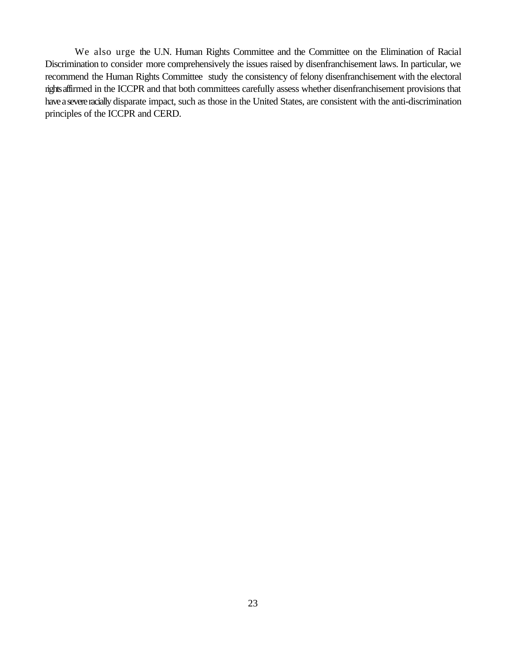We also urge the U.N. Human Rights Committee and the Committee on the Elimination of Racial Discrimination to consider more comprehensively the issues raised by disenfranchisement laws. In particular, we recommend the Human Rights Committee study the consistency of felony disenfranchisement with the electoral rights affirmed in the ICCPR and that both committees carefully assess whether disenfranchisement provisions that have a severe racially disparate impact, such as those in the United States, are consistent with the anti-discrimination principles of the ICCPR and CERD.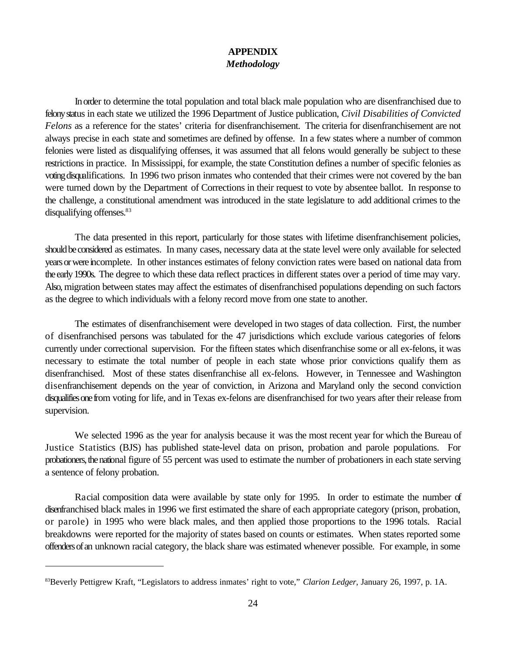## **APPENDIX** *Methodology*

In order to determine the total population and total black male population who are disenfranchised due to felony status in each state we utilized the 1996 Department of Justice publication, *Civil Disabilities of Convicted Felons* as a reference for the states' criteria for disenfranchisement. The criteria for disenfranchisement are not always precise in each state and sometimes are defined by offense. In a few states where a number of common felonies were listed as disqualifying offenses, it was assumed that all felons would generally be subject to these restrictions in practice. In Mississippi, for example, the state Constitution defines a number of specific felonies as voting disqualifications. In 1996 two prison inmates who contended that their crimes were not covered by the ban were turned down by the Department of Corrections in their request to vote by absentee ballot. In response to the challenge, a constitutional amendment was introduced in the state legislature to add additional crimes to the disqualifying offenses.<sup>83</sup>

The data presented in this report, particularly for those states with lifetime disenfranchisement policies, should be considered as estimates. In many cases, necessary data at the state level were only available for selected years or were incomplete. In other instances estimates of felony conviction rates were based on national data from the early 1990s. The degree to which these data reflect practices in different states over a period of time may vary. Also, migration between states may affect the estimates of disenfranchised populations depending on such factors as the degree to which individuals with a felony record move from one state to another.

The estimates of disenfranchisement were developed in two stages of data collection. First, the number of disenfranchised persons was tabulated for the 47 jurisdictions which exclude various categories of felons currently under correctional supervision. For the fifteen states which disenfranchise some or all ex-felons, it was necessary to estimate the total number of people in each state whose prior convictions qualify them as disenfranchised. Most of these states disenfranchise all ex-felons. However, in Tennessee and Washington disenfranchisement depends on the year of conviction, in Arizona and Maryland only the second conviction disqualifies one from voting for life, and in Texas ex-felons are disenfranchised for two years after their release from supervision.

We selected 1996 as the year for analysis because it was the most recent year for which the Bureau of Justice Statistics (BJS) has published state-level data on prison, probation and parole populations. For probationers, the national figure of 55 percent was used to estimate the number of probationers in each state serving a sentence of felony probation.

Racial composition data were available by state only for 1995. In order to estimate the number of disenfranchised black males in 1996 we first estimated the share of each appropriate category (prison, probation, or parole) in 1995 who were black males, and then applied those proportions to the 1996 totals. Racial breakdowns were reported for the majority of states based on counts or estimates. When states reported some offenders of an unknown racial category, the black share was estimated whenever possible. For example, in some

<sup>&</sup>lt;sup>83</sup> Beverly Pettigrew Kraft, "Legislators to address inmates' right to vote," *Clarion Ledger*, January 26, 1997, p. 1A.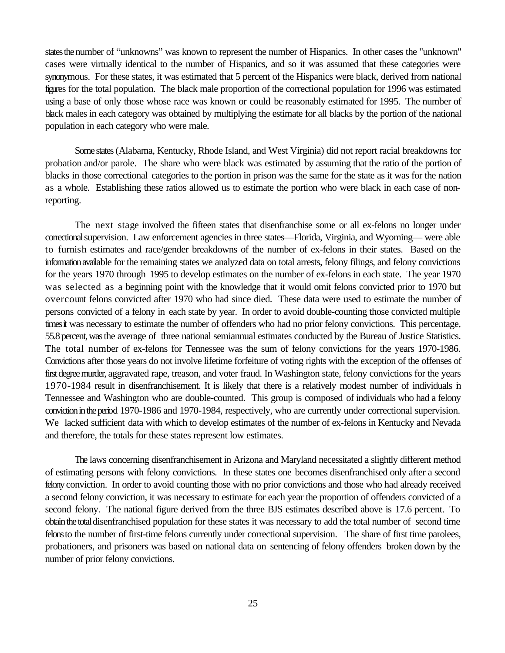states the number of "unknowns" was known to represent the number of Hispanics. In other cases the "unknown" cases were virtually identical to the number of Hispanics, and so it was assumed that these categories were synonymous. For these states, it was estimated that 5 percent of the Hispanics were black, derived from national figures for the total population. The black male proportion of the correctional population for 1996 was estimated using a base of only those whose race was known or could be reasonably estimated for 1995. The number of black males in each category was obtained by multiplying the estimate for all blacks by the portion of the national population in each category who were male.

Some states (Alabama, Kentucky, Rhode Island, and West Virginia) did not report racial breakdowns for probation and/or parole. The share who were black was estimated by assuming that the ratio of the portion of blacks in those correctional categories to the portion in prison was the same for the state as it was for the nation as a whole. Establishing these ratios allowed us to estimate the portion who were black in each case of nonreporting.

The next stage involved the fifteen states that disenfranchise some or all ex-felons no longer under correctional supervision. Law enforcement agencies in three states—Florida, Virginia, and Wyoming— were able to furnish estimates and race/gender breakdowns of the number of ex-felons in their states. Based on the information available for the remaining states we analyzed data on total arrests, felony filings, and felony convictions for the years 1970 through 1995 to develop estimates on the number of ex-felons in each state. The year 1970 was selected as a beginning point with the knowledge that it would omit felons convicted prior to 1970 but overcount felons convicted after 1970 who had since died. These data were used to estimate the number of persons convicted of a felony in each state by year. In order to avoid double-counting those convicted multiple times it was necessary to estimate the number of offenders who had no prior felony convictions. This percentage, 55.8 percent, was the average of three national semiannual estimates conducted by the Bureau of Justice Statistics. The total number of ex-felons for Tennessee was the sum of felony convictions for the years 1970-1986. Convictions after those years do not involve lifetime forfeiture of voting rights with the exception of the offenses of first degree murder, aggravated rape, treason, and voter fraud. In Washington state, felony convictions for the years 1970-1984 result in disenfranchisement. It is likely that there is a relatively modest number of individuals in Tennessee and Washington who are double-counted. This group is composed of individuals who had a felony conviction in the period 1970-1986 and 1970-1984, respectively, who are currently under correctional supervision. We lacked sufficient data with which to develop estimates of the number of ex-felons in Kentucky and Nevada and therefore, the totals for these states represent low estimates.

The laws concerning disenfranchisement in Arizona and Maryland necessitated a slightly different method of estimating persons with felony convictions. In these states one becomes disenfranchised only after a second felony conviction. In order to avoid counting those with no prior convictions and those who had already received a second felony conviction, it was necessary to estimate for each year the proportion of offenders convicted of a second felony. The national figure derived from the three BJS estimates described above is 17.6 percent. To obtain the total disenfranchised population for these states it was necessary to add the total number of second time felons to the number of first-time felons currently under correctional supervision. The share of first time parolees, probationers, and prisoners was based on national data on sentencing of felony offenders broken down by the number of prior felony convictions.